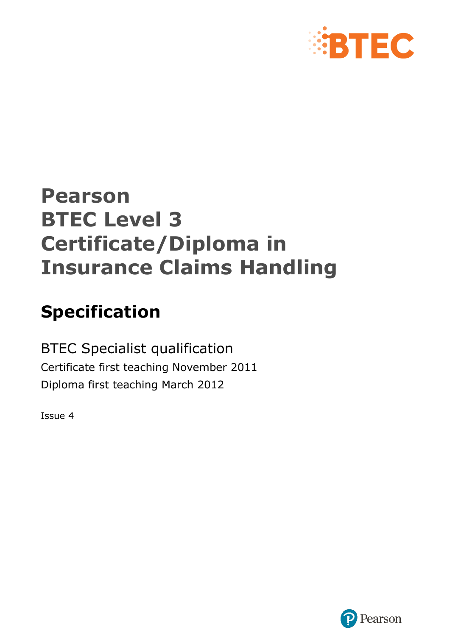

# **Pearson BTEC Level 3 Certificate/Diploma in Insurance Claims Handling**

# **Specification**

BTEC Specialist qualification Certificate first teaching November 2011 Diploma first teaching March 2012

Issue 4

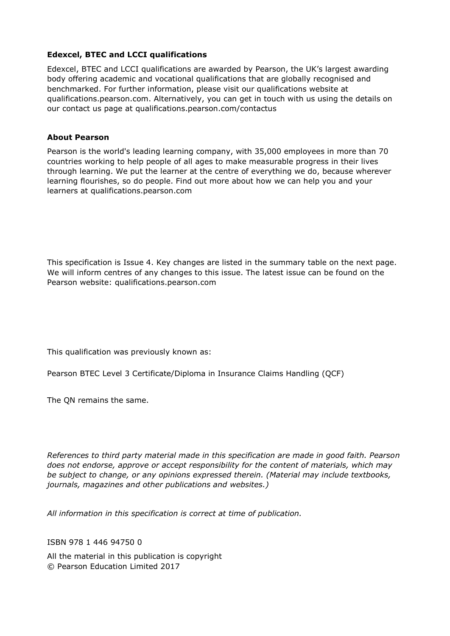#### **Edexcel, BTEC and LCCI qualifications**

Edexcel, BTEC and LCCI qualifications are awarded by Pearson, the UK's largest awarding body offering academic and vocational qualifications that are globally recognised and benchmarked. For further information, please visit our qualifications website at qualifications.pearson.com. Alternatively, you can get in touch with us using the details on our contact us page at qualifications.pearson.com/contactus

#### **About Pearson**

Pearson is the world's leading learning company, with 35,000 employees in more than 70 countries working to help people of all ages to make measurable progress in their lives through learning. We put the learner at the centre of everything we do, because wherever learning flourishes, so do people. Find out more about how we can help you and your learners at qualifications.pearson.com

This specification is Issue 4. Key changes are listed in the summary table on the next page. We will inform centres of any changes to this issue. The latest issue can be found on the Pearson website: qualifications.pearson.com

This qualification was previously known as:

Pearson BTEC Level 3 Certificate/Diploma in Insurance Claims Handling (QCF)

The QN remains the same.

*References to third party material made in this specification are made in good faith. Pearson does not endorse, approve or accept responsibility for the content of materials, which may be subject to change, or any opinions expressed therein. (Material may include textbooks, journals, magazines and other publications and websites.)*

*All information in this specification is correct at time of publication.*

ISBN 978 1 446 94750 0

All the material in this publication is copyright © Pearson Education Limited 2017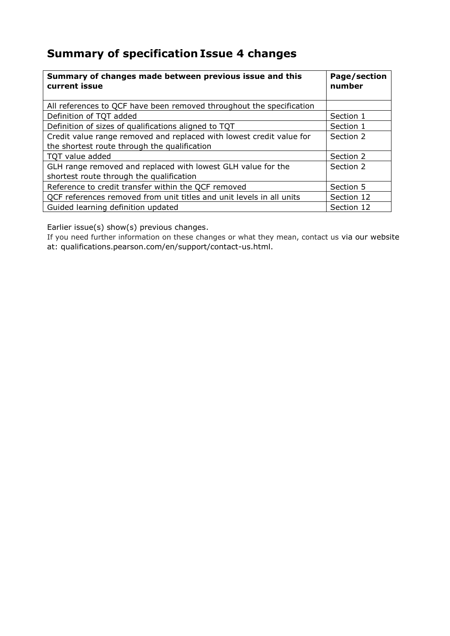# **Summary of specification Issue 4 changes**

| Summary of changes made between previous issue and this<br>current issue | Page/section<br>number |
|--------------------------------------------------------------------------|------------------------|
| All references to QCF have been removed throughout the specification     |                        |
| Definition of TQT added                                                  | Section 1              |
| Definition of sizes of qualifications aligned to TQT                     | Section 1              |
| Credit value range removed and replaced with lowest credit value for     | Section 2              |
| the shortest route through the qualification                             |                        |
| TOT value added                                                          | Section 2              |
| GLH range removed and replaced with lowest GLH value for the             | Section 2              |
| shortest route through the qualification                                 |                        |
| Reference to credit transfer within the QCF removed                      | Section 5              |
| QCF references removed from unit titles and unit levels in all units     | Section 12             |
| Guided learning definition updated                                       | Section 12             |

Earlier issue(s) show(s) previous changes.

If you need further information on these changes or what they mean, contact us via our website at: qualifications.pearson.com/en/support/contact-us.html.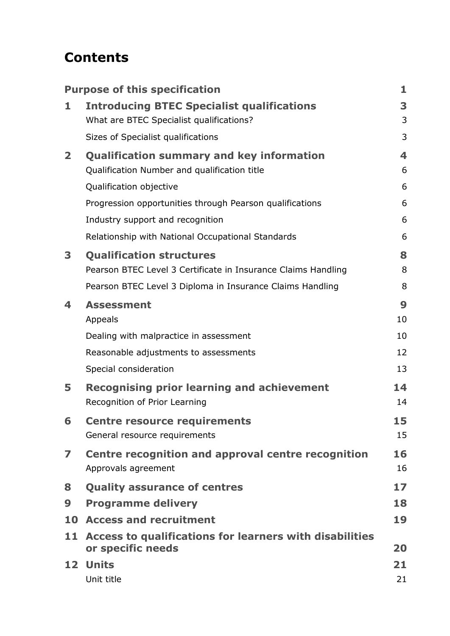# **Contents**

|                | <b>Purpose of this specification</b>                                         | 1  |
|----------------|------------------------------------------------------------------------------|----|
| 1              | <b>Introducing BTEC Specialist qualifications</b>                            | 3  |
|                | What are BTEC Specialist qualifications?                                     | 3  |
|                | Sizes of Specialist qualifications                                           | 3  |
| $\overline{2}$ | <b>Qualification summary and key information</b>                             | 4  |
|                | Qualification Number and qualification title                                 | 6  |
|                | Qualification objective                                                      | 6  |
|                | Progression opportunities through Pearson qualifications                     | 6  |
|                | Industry support and recognition                                             | 6  |
|                | Relationship with National Occupational Standards                            | 6  |
| 3              | <b>Qualification structures</b>                                              | 8  |
|                | Pearson BTEC Level 3 Certificate in Insurance Claims Handling                | 8  |
|                | Pearson BTEC Level 3 Diploma in Insurance Claims Handling                    | 8  |
| 4              | <b>Assessment</b>                                                            | 9  |
|                | Appeals                                                                      | 10 |
|                | Dealing with malpractice in assessment                                       | 10 |
|                | Reasonable adjustments to assessments                                        | 12 |
|                | Special consideration                                                        | 13 |
| 5              | <b>Recognising prior learning and achievement</b>                            | 14 |
|                | Recognition of Prior Learning                                                | 14 |
| 6              | <b>Centre resource requirements</b>                                          | 15 |
|                | General resource requirements                                                | 15 |
| 7              | Centre recognition and approval centre recognition                           | 16 |
|                | Approvals agreement                                                          | 16 |
| 8              | <b>Quality assurance of centres</b>                                          | 17 |
| 9              | <b>Programme delivery</b>                                                    | 18 |
|                | 10 Access and recruitment                                                    | 19 |
| 11             | Access to qualifications for learners with disabilities<br>or specific needs | 20 |
|                | 12 Units                                                                     | 21 |
|                | Unit title                                                                   | 21 |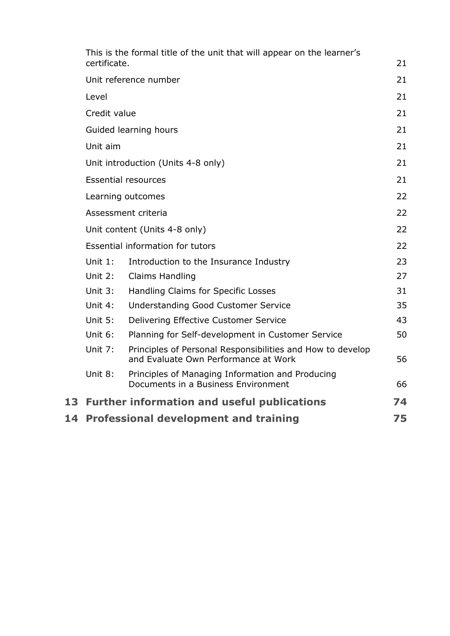| 14 |              | <b>Professional development and training</b>                                                       | 75 |
|----|--------------|----------------------------------------------------------------------------------------------------|----|
| 13 |              | <b>Further information and useful publications</b>                                                 | 74 |
|    | Unit 8:      | Principles of Managing Information and Producing<br>Documents in a Business Environment            | 66 |
|    | Unit 7:      | Principles of Personal Responsibilities and How to develop<br>and Evaluate Own Performance at Work | 56 |
|    | Unit 6:      | Planning for Self-development in Customer Service                                                  | 50 |
|    | Unit 5:      | Delivering Effective Customer Service                                                              | 43 |
|    | Unit 4:      | Understanding Good Customer Service                                                                | 35 |
|    | Unit 3:      | Handling Claims for Specific Losses                                                                | 31 |
|    | Unit $2:$    | Claims Handling                                                                                    | 27 |
|    | Unit $1$ :   | Introduction to the Insurance Industry                                                             | 23 |
|    |              | Essential information for tutors                                                                   | 22 |
|    |              | Unit content (Units 4-8 only)                                                                      | 22 |
|    |              | Assessment criteria                                                                                | 22 |
|    |              | Learning outcomes                                                                                  | 22 |
|    |              | <b>Essential resources</b>                                                                         | 21 |
|    |              | Unit introduction (Units 4-8 only)                                                                 | 21 |
|    | Unit aim     |                                                                                                    | 21 |
|    |              | Guided learning hours                                                                              | 21 |
|    | Credit value |                                                                                                    | 21 |
|    | Level        |                                                                                                    | 21 |
|    |              | Unit reference number                                                                              | 21 |
|    | certificate. |                                                                                                    | 21 |
|    |              | This is the formal title of the unit that will appear on the learner's                             |    |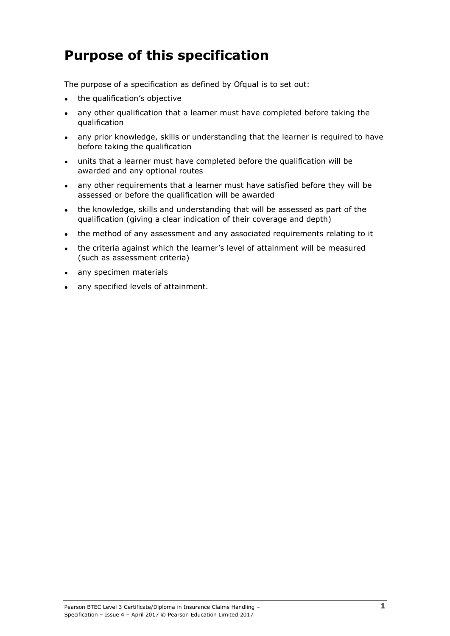# <span id="page-6-0"></span>**Purpose of this specification**

The purpose of a specification as defined by Ofqual is to set out:

- the qualification's objective
- any other qualification that a learner must have completed before taking the qualification
- any prior knowledge, skills or understanding that the learner is required to have before taking the qualification
- units that a learner must have completed before the qualification will be awarded and any optional routes
- any other requirements that a learner must have satisfied before they will be assessed or before the qualification will be awarded
- the knowledge, skills and understanding that will be assessed as part of the qualification (giving a clear indication of their coverage and depth)
- the method of any assessment and any associated requirements relating to it
- the criteria against which the learner's level of attainment will be measured (such as assessment criteria)
- any specimen materials
- any specified levels of attainment.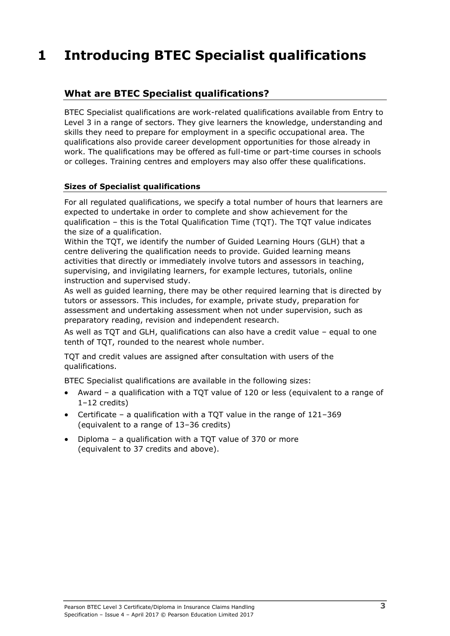# <span id="page-8-0"></span>**1 Introducing BTEC Specialist qualifications**

### <span id="page-8-1"></span>**What are BTEC Specialist qualifications?**

BTEC Specialist qualifications are work-related qualifications available from Entry to Level 3 in a range of sectors. They give learners the knowledge, understanding and skills they need to prepare for employment in a specific occupational area. The qualifications also provide career development opportunities for those already in work. The qualifications may be offered as full-time or part-time courses in schools or colleges. Training centres and employers may also offer these qualifications.

#### <span id="page-8-2"></span>**Sizes of Specialist qualifications**

For all regulated qualifications, we specify a total number of hours that learners are expected to undertake in order to complete and show achievement for the qualification – this is the Total Qualification Time (TQT). The TQT value indicates the size of a qualification.

Within the TQT, we identify the number of Guided Learning Hours (GLH) that a centre delivering the qualification needs to provide. Guided learning means activities that directly or immediately involve tutors and assessors in teaching, supervising, and invigilating learners, for example lectures, tutorials, online instruction and supervised study.

As well as guided learning, there may be other required learning that is directed by tutors or assessors. This includes, for example, private study, preparation for assessment and undertaking assessment when not under supervision, such as preparatory reading, revision and independent research.

As well as TQT and GLH, qualifications can also have a credit value – equal to one tenth of TQT, rounded to the nearest whole number.

TQT and credit values are assigned after consultation with users of the qualifications.

BTEC Specialist qualifications are available in the following sizes:

- Award a qualification with a TQT value of 120 or less (equivalent to a range of 1–12 credits)
- Certificate a qualification with a TQT value in the range of 121–369 (equivalent to a range of 13–36 credits)
- Diploma a qualification with a TQT value of 370 or more (equivalent to 37 credits and above).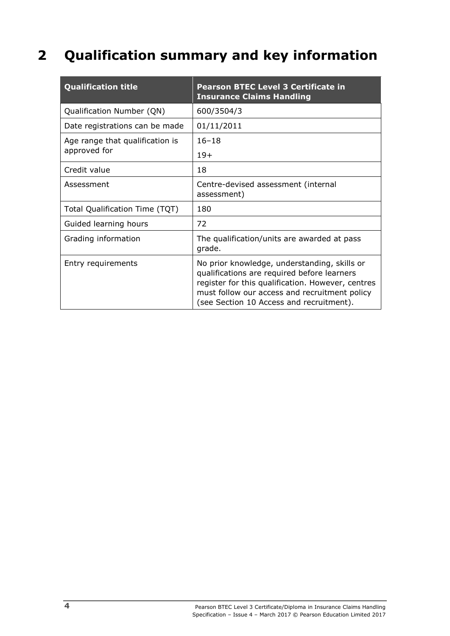# <span id="page-9-0"></span>**2 Qualification summary and key information**

| <b>Qualification title</b>      | <b>Pearson BTEC Level 3 Certificate in</b><br><b>Insurance Claims Handling</b>                                                                                                                                                                |
|---------------------------------|-----------------------------------------------------------------------------------------------------------------------------------------------------------------------------------------------------------------------------------------------|
| Qualification Number (QN)       | 600/3504/3                                                                                                                                                                                                                                    |
| Date registrations can be made  | 01/11/2011                                                                                                                                                                                                                                    |
| Age range that qualification is | $16 - 18$                                                                                                                                                                                                                                     |
| approved for                    | $19+$                                                                                                                                                                                                                                         |
| Credit value                    | 18                                                                                                                                                                                                                                            |
| Assessment                      | Centre-devised assessment (internal<br>assessment)                                                                                                                                                                                            |
| Total Qualification Time (TQT)  | 180                                                                                                                                                                                                                                           |
| Guided learning hours           | 72                                                                                                                                                                                                                                            |
| Grading information             | The qualification/units are awarded at pass<br>grade.                                                                                                                                                                                         |
| Entry requirements              | No prior knowledge, understanding, skills or<br>qualifications are required before learners<br>register for this qualification. However, centres<br>must follow our access and recruitment policy<br>(see Section 10 Access and recruitment). |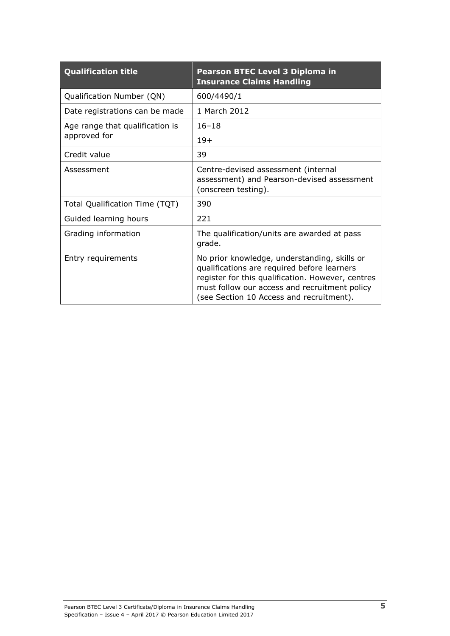| <b>Qualification title</b>      | Pearson BTEC Level 3 Diploma in<br><b>Insurance Claims Handling</b>                                                                                                                                                                           |
|---------------------------------|-----------------------------------------------------------------------------------------------------------------------------------------------------------------------------------------------------------------------------------------------|
| Qualification Number (QN)       | 600/4490/1                                                                                                                                                                                                                                    |
| Date registrations can be made  | 1 March 2012                                                                                                                                                                                                                                  |
| Age range that qualification is | $16 - 18$                                                                                                                                                                                                                                     |
| approved for                    | $19+$                                                                                                                                                                                                                                         |
| Credit value                    | 39                                                                                                                                                                                                                                            |
| Assessment                      | Centre-devised assessment (internal<br>assessment) and Pearson-devised assessment<br>(onscreen testing).                                                                                                                                      |
| Total Qualification Time (TQT)  | 390                                                                                                                                                                                                                                           |
| Guided learning hours           | 221                                                                                                                                                                                                                                           |
| Grading information             | The qualification/units are awarded at pass<br>grade.                                                                                                                                                                                         |
| Entry requirements              | No prior knowledge, understanding, skills or<br>qualifications are required before learners<br>register for this qualification. However, centres<br>must follow our access and recruitment policy<br>(see Section 10 Access and recruitment). |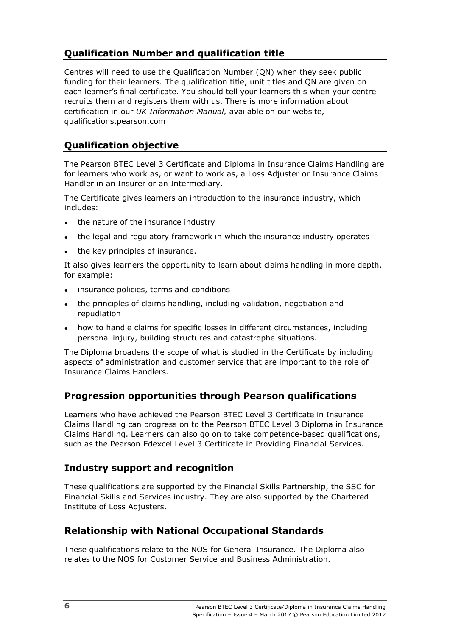# <span id="page-11-0"></span>**Qualification Number and qualification title**

Centres will need to use the Qualification Number (QN) when they seek public funding for their learners. The qualification title, unit titles and QN are given on each learner's final certificate. You should tell your learners this when your centre recruits them and registers them with us. There is more information about certification in our *UK Information Manual,* available on our website, qualifications.pearson.com

### <span id="page-11-1"></span>**Qualification objective**

The Pearson BTEC Level 3 Certificate and Diploma in Insurance Claims Handling are for learners who work as, or want to work as, a Loss Adjuster or Insurance Claims Handler in an Insurer or an Intermediary.

The Certificate gives learners an introduction to the insurance industry, which includes:

- the nature of the insurance industry
- the legal and regulatory framework in which the insurance industry operates
- the key principles of insurance.

It also gives learners the opportunity to learn about claims handling in more depth, for example:

- insurance policies, terms and conditions
- the principles of claims handling, including validation, negotiation and repudiation
- how to handle claims for specific losses in different circumstances, including personal injury, building structures and catastrophe situations.

The Diploma broadens the scope of what is studied in the Certificate by including aspects of administration and customer service that are important to the role of Insurance Claims Handlers.

#### <span id="page-11-2"></span>**Progression opportunities through Pearson qualifications**

Learners who have achieved the Pearson BTEC Level 3 Certificate in Insurance Claims Handling can progress on to the Pearson BTEC Level 3 Diploma in Insurance Claims Handling. Learners can also go on to take competence-based qualifications, such as the Pearson Edexcel Level 3 Certificate in Providing Financial Services.

#### <span id="page-11-3"></span>**Industry support and recognition**

These qualifications are supported by the Financial Skills Partnership, the SSC for Financial Skills and Services industry. They are also supported by the Chartered Institute of Loss Adjusters.

#### <span id="page-11-4"></span>**Relationship with National Occupational Standards**

These qualifications relate to the NOS for General Insurance. The Diploma also relates to the NOS for Customer Service and Business Administration.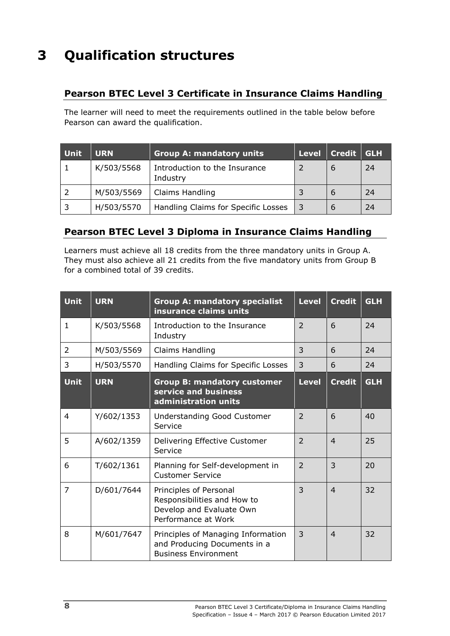# <span id="page-13-0"></span>**3 Qualification structures**

### <span id="page-13-1"></span>**Pearson BTEC Level 3 Certificate in Insurance Claims Handling**

The learner will need to meet the requirements outlined in the table below before Pearson can award the qualification.

| <b>Unit</b> | <b>URN</b> | <b>Group A: mandatory units</b>           | Level | Credit   GLH |    |
|-------------|------------|-------------------------------------------|-------|--------------|----|
|             | K/503/5568 | Introduction to the Insurance<br>Industry |       | b            | 24 |
|             | M/503/5569 | Claims Handling                           |       |              | 24 |
| -3          | H/503/5570 | Handling Claims for Specific Losses       | 3     |              | 24 |

### <span id="page-13-2"></span>**Pearson BTEC Level 3 Diploma in Insurance Claims Handling**

Learners must achieve all 18 credits from the three mandatory units in Group A. They must also achieve all 21 credits from the five mandatory units from Group B for a combined total of 39 credits.

| Unit          | <b>URN</b> | <b>Group A: mandatory specialist</b><br>insurance claims units                                           | <b>Level</b>   | <b>Credit</b>  | <b>GLH</b> |
|---------------|------------|----------------------------------------------------------------------------------------------------------|----------------|----------------|------------|
| $\mathbf{1}$  | K/503/5568 | Introduction to the Insurance<br>Industry                                                                | $\overline{2}$ | 6              | 24         |
| $\mathcal{L}$ | M/503/5569 | Claims Handling                                                                                          | 3              | 6              | 24         |
| 3             | H/503/5570 | Handling Claims for Specific Losses                                                                      | 3              | 6              | 24         |
| <b>Unit</b>   | <b>URN</b> | <b>Group B: mandatory customer</b><br>service and business<br>administration units                       | <b>Level</b>   | <b>Credit</b>  | <b>GLH</b> |
| 4             | Y/602/1353 | <b>Understanding Good Customer</b><br>Service                                                            | $\overline{2}$ | 6              | 40         |
| 5             | A/602/1359 | Delivering Effective Customer<br>Service                                                                 | $\overline{2}$ | $\overline{4}$ | 25         |
| 6             | T/602/1361 | Planning for Self-development in<br><b>Customer Service</b>                                              | $\overline{2}$ | $\overline{3}$ | 20         |
| 7             | D/601/7644 | Principles of Personal<br>Responsibilities and How to<br>Develop and Evaluate Own<br>Performance at Work | 3              | $\overline{4}$ | 32         |
| 8             | M/601/7647 | Principles of Managing Information<br>and Producing Documents in a<br><b>Business Environment</b>        | 3              | $\overline{4}$ | 32         |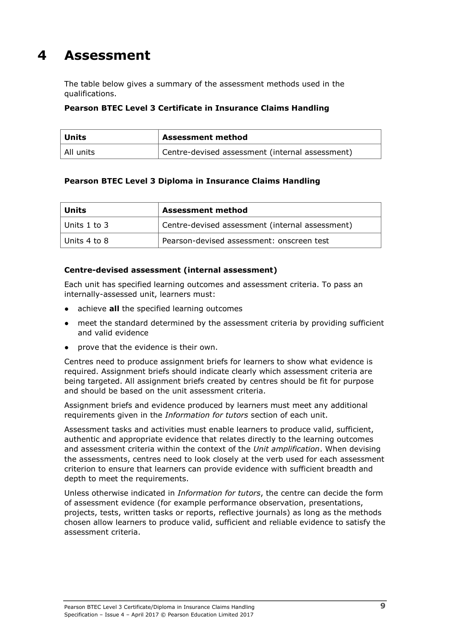# <span id="page-14-0"></span>**4 Assessment**

The table below gives a summary of the assessment methods used in the qualifications.

#### **Pearson BTEC Level 3 Certificate in Insurance Claims Handling**

| ' Units   | <b>Assessment method</b>                        |  |
|-----------|-------------------------------------------------|--|
| All units | Centre-devised assessment (internal assessment) |  |

#### **Pearson BTEC Level 3 Diploma in Insurance Claims Handling**

| Units        | <b>Assessment method</b>                        |  |
|--------------|-------------------------------------------------|--|
| Units 1 to 3 | Centre-devised assessment (internal assessment) |  |
| Units 4 to 8 | Pearson-devised assessment: onscreen test       |  |

#### **Centre-devised assessment (internal assessment)**

Each unit has specified learning outcomes and assessment criteria. To pass an internally-assessed unit, learners must:

- achieve **all** the specified learning outcomes
- meet the standard determined by the assessment criteria by providing sufficient and valid evidence
- prove that the evidence is their own.

Centres need to produce assignment briefs for learners to show what evidence is required. Assignment briefs should indicate clearly which assessment criteria are being targeted. All assignment briefs created by centres should be fit for purpose and should be based on the unit assessment criteria.

Assignment briefs and evidence produced by learners must meet any additional requirements given in the *Information for tutors* section of each unit.

Assessment tasks and activities must enable learners to produce valid, sufficient, authentic and appropriate evidence that relates directly to the learning outcomes and assessment criteria within the context of the *Unit amplification*. When devising the assessments, centres need to look closely at the verb used for each assessment criterion to ensure that learners can provide evidence with sufficient breadth and depth to meet the requirements.

Unless otherwise indicated in *Information for tutors*, the centre can decide the form of assessment evidence (for example performance observation, presentations, projects, tests, written tasks or reports, reflective journals) as long as the methods chosen allow learners to produce valid, sufficient and reliable evidence to satisfy the assessment criteria.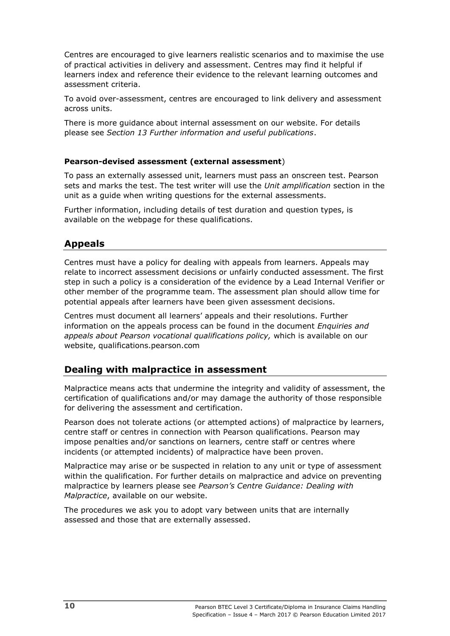Centres are encouraged to give learners realistic scenarios and to maximise the use of practical activities in delivery and assessment. Centres may find it helpful if learners index and reference their evidence to the relevant learning outcomes and assessment criteria.

To avoid over-assessment, centres are encouraged to link delivery and assessment across units.

There is more guidance about internal assessment on our website. For details please see *Section 13 Further information and useful publications*.

#### **Pearson-devised assessment (external assessment**)

To pass an externally assessed unit, learners must pass an onscreen test. Pearson sets and marks the test. The test writer will use the *Unit amplification* section in the unit as a guide when writing questions for the external assessments.

Further information, including details of test duration and question types, is available on the webpage for these qualifications.

#### <span id="page-15-0"></span>**Appeals**

Centres must have a policy for dealing with appeals from learners. Appeals may relate to incorrect assessment decisions or unfairly conducted assessment. The first step in such a policy is a consideration of the evidence by a Lead Internal Verifier or other member of the programme team. The assessment plan should allow time for potential appeals after learners have been given assessment decisions.

Centres must document all learners' appeals and their resolutions. Further information on the appeals process can be found in the document *Enquiries and appeals about Pearson vocational qualifications policy,* which is available on our website, qualifications.pearson.com

#### <span id="page-15-1"></span>**Dealing with malpractice in assessment**

Malpractice means acts that undermine the integrity and validity of assessment, the certification of qualifications and/or may damage the authority of those responsible for delivering the assessment and certification.

Pearson does not tolerate actions (or attempted actions) of malpractice by learners, centre staff or centres in connection with Pearson qualifications. Pearson may impose penalties and/or sanctions on learners, centre staff or centres where incidents (or attempted incidents) of malpractice have been proven.

Malpractice may arise or be suspected in relation to any unit or type of assessment within the qualification. For further details on malpractice and advice on preventing malpractice by learners please see *Pearson's Centre Guidance: Dealing with Malpractice*, available on our website.

The procedures we ask you to adopt vary between units that are internally assessed and those that are externally assessed.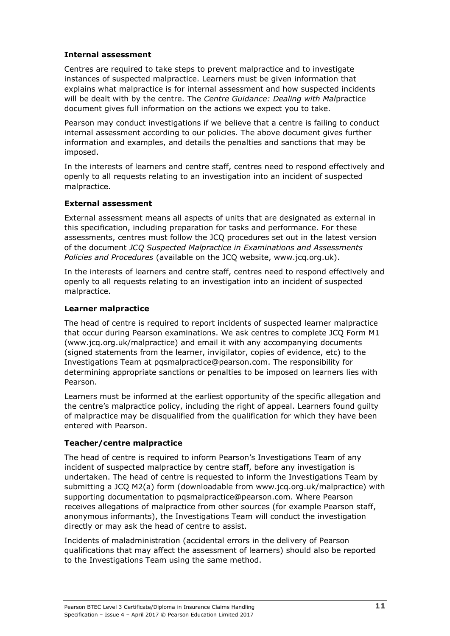#### **Internal assessment**

Centres are required to take steps to prevent malpractice and to investigate instances of suspected malpractice. Learners must be given information that explains what malpractice is for internal assessment and how suspected incidents will be dealt with by the centre. The *Centre Guidance: Dealing with Mal*practice document gives full information on the actions we expect you to take.

Pearson may conduct investigations if we believe that a centre is failing to conduct internal assessment according to our policies. The above document gives further information and examples, and details the penalties and sanctions that may be imposed.

In the interests of learners and centre staff, centres need to respond effectively and openly to all requests relating to an investigation into an incident of suspected malpractice.

#### **External assessment**

External assessment means all aspects of units that are designated as external in this specification, including preparation for tasks and performance. For these assessments, centres must follow the JCQ procedures set out in the latest version of the document *JCQ Suspected Malpractice in Examinations and Assessments Policies and Procedures* (available on the JCQ website, www.jcq.org.uk).

In the interests of learners and centre staff, centres need to respond effectively and openly to all requests relating to an investigation into an incident of suspected malpractice.

#### **Learner malpractice**

The head of centre is required to report incidents of suspected learner malpractice that occur during Pearson examinations. We ask centres to complete JCQ Form M1 (www.jcq.org.uk/malpractice) and email it with any accompanying documents (signed statements from the learner, invigilator, copies of evidence, etc) to the Investigations Team at pqsmalpractice@pearson.com. The responsibility for determining appropriate sanctions or penalties to be imposed on learners lies with Pearson.

Learners must be informed at the earliest opportunity of the specific allegation and the centre's malpractice policy, including the right of appeal. Learners found guilty of malpractice may be disqualified from the qualification for which they have been entered with Pearson.

#### **Teacher/centre malpractice**

The head of centre is required to inform Pearson's Investigations Team of any incident of suspected malpractice by centre staff, before any investigation is undertaken. The head of centre is requested to inform the Investigations Team by submitting a JCQ M2(a) form (downloadable from www.jcq.org.uk/malpractice) with supporting documentation to pqsmalpractice@pearson.com. Where Pearson receives allegations of malpractice from other sources (for example Pearson staff, anonymous informants), the Investigations Team will conduct the investigation directly or may ask the head of centre to assist.

Incidents of maladministration (accidental errors in the delivery of Pearson qualifications that may affect the assessment of learners) should also be reported to the Investigations Team using the same method.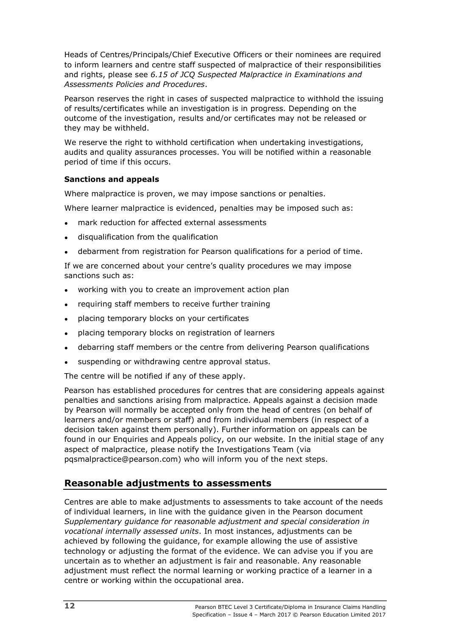Heads of Centres/Principals/Chief Executive Officers or their nominees are required to inform learners and centre staff suspected of malpractice of their responsibilities and rights, please see *6.15 of JCQ Suspected Malpractice in Examinations and Assessments Policies and Procedures*.

Pearson reserves the right in cases of suspected malpractice to withhold the issuing of results/certificates while an investigation is in progress. Depending on the outcome of the investigation, results and/or certificates may not be released or they may be withheld.

We reserve the right to withhold certification when undertaking investigations, audits and quality assurances processes. You will be notified within a reasonable period of time if this occurs.

#### **Sanctions and appeals**

Where malpractice is proven, we may impose sanctions or penalties.

Where learner malpractice is evidenced, penalties may be imposed such as:

- mark reduction for affected external assessments
- disqualification from the qualification
- debarment from registration for Pearson qualifications for a period of time.

If we are concerned about your centre's quality procedures we may impose sanctions such as:

- working with you to create an improvement action plan
- requiring staff members to receive further training
- placing temporary blocks on your certificates
- placing temporary blocks on registration of learners
- debarring staff members or the centre from delivering Pearson qualifications
- suspending or withdrawing centre approval status.

The centre will be notified if any of these apply.

Pearson has established procedures for centres that are considering appeals against penalties and sanctions arising from malpractice. Appeals against a decision made by Pearson will normally be accepted only from the head of centres (on behalf of learners and/or members or staff) and from individual members (in respect of a decision taken against them personally). Further information on appeals can be found in our Enquiries and Appeals policy, on our website. In the initial stage of any aspect of malpractice, please notify the Investigations Team (via pqsmalpractice@pearson.com) who will inform you of the next steps.

#### <span id="page-17-0"></span>**Reasonable adjustments to assessments**

Centres are able to make adjustments to assessments to take account of the needs of individual learners, in line with the guidance given in the Pearson document *Supplementary guidance for reasonable adjustment and special consideration in vocational internally assessed units*. In most instances, adjustments can be achieved by following the guidance, for example allowing the use of assistive technology or adjusting the format of the evidence. We can advise you if you are uncertain as to whether an adjustment is fair and reasonable. Any reasonable adjustment must reflect the normal learning or working practice of a learner in a centre or working within the occupational area.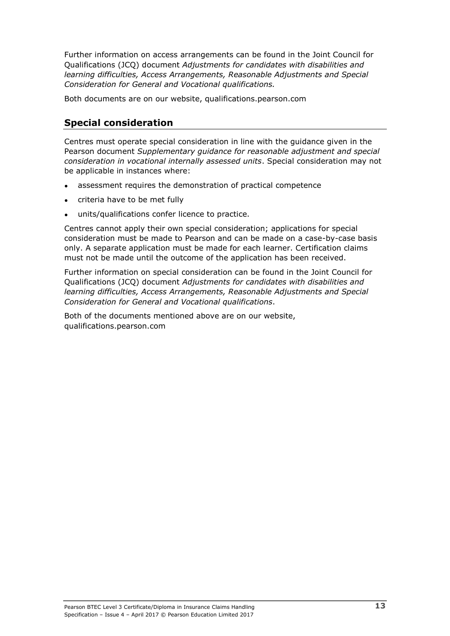Further information on access arrangements can be found in the Joint Council for Qualifications (JCQ) document *Adjustments for candidates with disabilities and learning difficulties, Access Arrangements, Reasonable Adjustments and Special Consideration for General and Vocational qualifications.*

Both documents are on our website, qualifications.pearson.com

### <span id="page-18-0"></span>**Special consideration**

Centres must operate special consideration in line with the guidance given in the Pearson document *Supplementary guidance for reasonable adjustment and special consideration in vocational internally assessed units*. Special consideration may not be applicable in instances where:

- assessment requires the demonstration of practical competence
- criteria have to be met fully
- units/qualifications confer licence to practice.

Centres cannot apply their own special consideration; applications for special consideration must be made to Pearson and can be made on a case-by-case basis only. A separate application must be made for each learner. Certification claims must not be made until the outcome of the application has been received.

Further information on special consideration can be found in the Joint Council for Qualifications (JCQ) document *Adjustments for candidates with disabilities and learning difficulties, Access Arrangements, Reasonable Adjustments and Special Consideration for General and Vocational qualifications*.

Both of the documents mentioned above are on our website, qualifications.pearson.com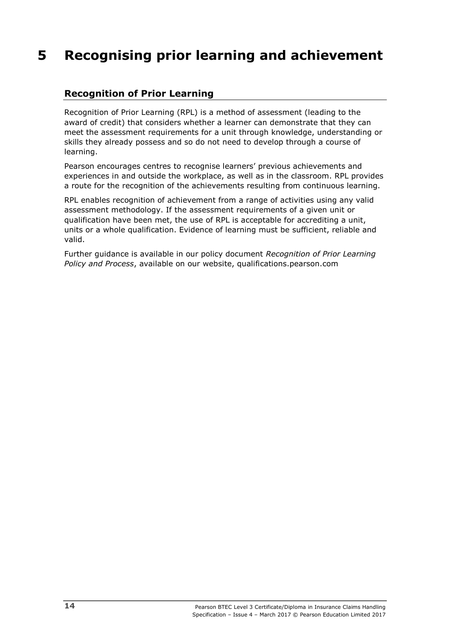# <span id="page-19-0"></span>**5 Recognising prior learning and achievement**

### <span id="page-19-1"></span>**Recognition of Prior Learning**

Recognition of Prior Learning (RPL) is a method of assessment (leading to the award of credit) that considers whether a learner can demonstrate that they can meet the assessment requirements for a unit through knowledge, understanding or skills they already possess and so do not need to develop through a course of learning.

Pearson encourages centres to recognise learners' previous achievements and experiences in and outside the workplace, as well as in the classroom. RPL provides a route for the recognition of the achievements resulting from continuous learning.

RPL enables recognition of achievement from a range of activities using any valid assessment methodology. If the assessment requirements of a given unit or qualification have been met, the use of RPL is acceptable for accrediting a unit, units or a whole qualification. Evidence of learning must be sufficient, reliable and valid.

Further guidance is available in our policy document *Recognition of Prior Learning Policy and Process*, available on our website, qualifications.pearson.com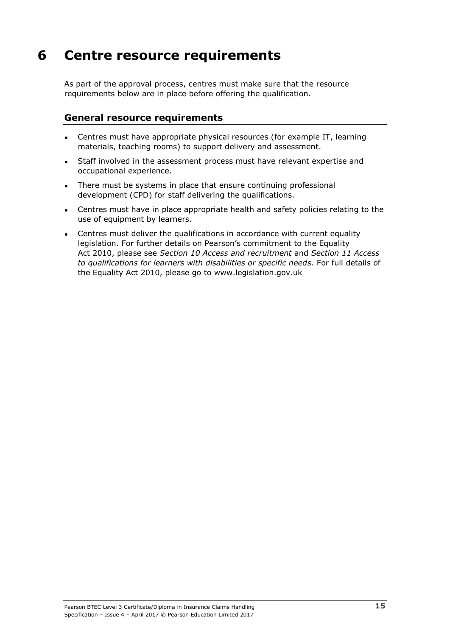# <span id="page-20-0"></span>**6 Centre resource requirements**

As part of the approval process, centres must make sure that the resource requirements below are in place before offering the qualification.

#### <span id="page-20-1"></span>**General resource requirements**

- Centres must have appropriate physical resources (for example IT, learning materials, teaching rooms) to support delivery and assessment.
- Staff involved in the assessment process must have relevant expertise and occupational experience.
- There must be systems in place that ensure continuing professional development (CPD) for staff delivering the qualifications.
- Centres must have in place appropriate health and safety policies relating to the use of equipment by learners.
- Centres must deliver the qualifications in accordance with current equality legislation. For further details on Pearson's commitment to the Equality Act 2010, please see *Section 10 Access and recruitment* and *Section 11 Access to qualifications for learners with disabilities or specific needs*. For full details of the Equality Act 2010, please go to www.legislation.gov.uk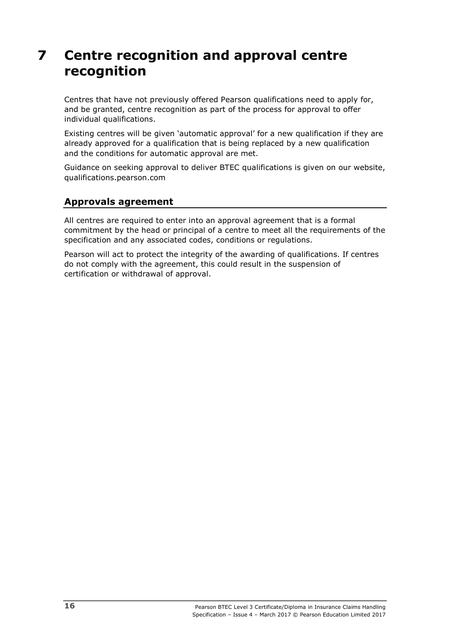# <span id="page-21-0"></span>**7 Centre recognition and approval centre recognition**

Centres that have not previously offered Pearson qualifications need to apply for, and be granted, centre recognition as part of the process for approval to offer individual qualifications.

Existing centres will be given 'automatic approval' for a new qualification if they are already approved for a qualification that is being replaced by a new qualification and the conditions for automatic approval are met.

Guidance on seeking approval to deliver BTEC qualifications is given on our website, qualifications.pearson.com

#### <span id="page-21-1"></span>**Approvals agreement**

All centres are required to enter into an approval agreement that is a formal commitment by the head or principal of a centre to meet all the requirements of the specification and any associated codes, conditions or regulations.

Pearson will act to protect the integrity of the awarding of qualifications. If centres do not comply with the agreement, this could result in the suspension of certification or withdrawal of approval.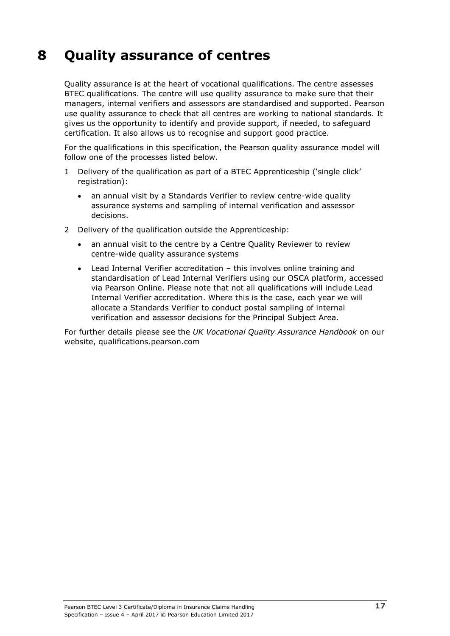# <span id="page-22-0"></span>**8 Quality assurance of centres**

Quality assurance is at the heart of vocational qualifications. The centre assesses BTEC qualifications. The centre will use quality assurance to make sure that their managers, internal verifiers and assessors are standardised and supported. Pearson use quality assurance to check that all centres are working to national standards. It gives us the opportunity to identify and provide support, if needed, to safeguard certification. It also allows us to recognise and support good practice.

For the qualifications in this specification, the Pearson quality assurance model will follow one of the processes listed below.

- 1 Delivery of the qualification as part of a BTEC Apprenticeship ('single click' registration):
	- an annual visit by a Standards Verifier to review centre-wide quality assurance systems and sampling of internal verification and assessor decisions.
- 2 Delivery of the qualification outside the Apprenticeship:
	- an annual visit to the centre by a Centre Quality Reviewer to review centre-wide quality assurance systems
	- Lead Internal Verifier accreditation this involves online training and standardisation of Lead Internal Verifiers using our OSCA platform, accessed via Pearson Online. Please note that not all qualifications will include Lead Internal Verifier accreditation. Where this is the case, each year we will allocate a Standards Verifier to conduct postal sampling of internal verification and assessor decisions for the Principal Subject Area.

For further details please see the *UK Vocational Quality Assurance Handbook* [on](http://www.edexcel.com/quals/BTEC/quality/Pages/documents.aspx) our website, qualifications.pearson.com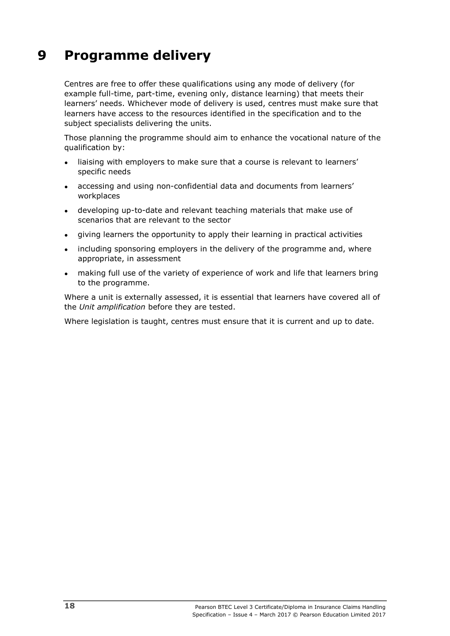# <span id="page-23-0"></span>**9 Programme delivery**

Centres are free to offer these qualifications using any mode of delivery (for example full-time, part-time, evening only, distance learning) that meets their learners' needs. Whichever mode of delivery is used, centres must make sure that learners have access to the resources identified in the specification and to the subject specialists delivering the units.

Those planning the programme should aim to enhance the vocational nature of the qualification by:

- liaising with employers to make sure that a course is relevant to learners' specific needs
- accessing and using non-confidential data and documents from learners' workplaces
- developing up-to-date and relevant teaching materials that make use of scenarios that are relevant to the sector
- giving learners the opportunity to apply their learning in practical activities
- including sponsoring employers in the delivery of the programme and, where appropriate, in assessment
- making full use of the variety of experience of work and life that learners bring to the programme.

Where a unit is externally assessed, it is essential that learners have covered all of the *Unit amplification* before they are tested.

Where legislation is taught, centres must ensure that it is current and up to date.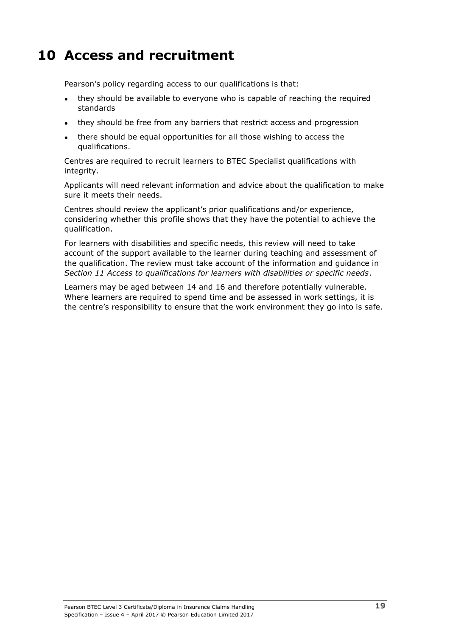# <span id="page-24-0"></span>**10 Access and recruitment**

Pearson's policy regarding access to our qualifications is that:

- they should be available to everyone who is capable of reaching the required standards
- they should be free from any barriers that restrict access and progression
- there should be equal opportunities for all those wishing to access the qualifications.

Centres are required to recruit learners to BTEC Specialist qualifications with integrity.

Applicants will need relevant information and advice about the qualification to make sure it meets their needs.

Centres should review the applicant's prior qualifications and/or experience, considering whether this profile shows that they have the potential to achieve the qualification.

For learners with disabilities and specific needs, this review will need to take account of the support available to the learner during teaching and assessment of the qualification. The review must take account of the information and guidance in *Section 11 Access to qualifications for learners with disabilities or specific needs*.

Learners may be aged between 14 and 16 and therefore potentially vulnerable. Where learners are required to spend time and be assessed in work settings, it is the centre's responsibility to ensure that the work environment they go into is safe.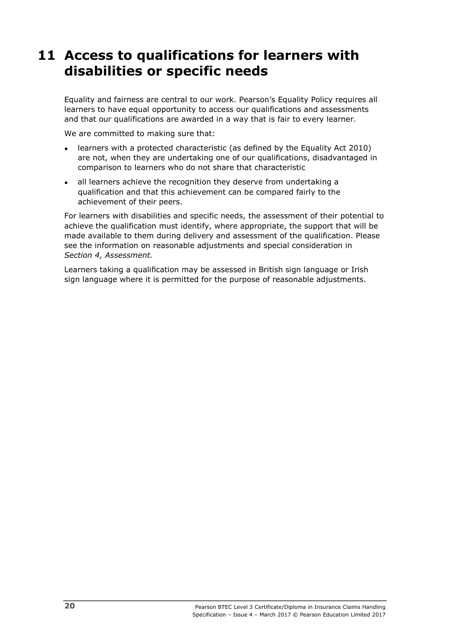# <span id="page-25-0"></span>**11 Access to qualifications for learners with disabilities or specific needs**

Equality and fairness are central to our work. Pearson's Equality Policy requires all learners to have equal opportunity to access our qualifications and assessments and that our qualifications are awarded in a way that is fair to every learner.

We are committed to making sure that:

- learners with a protected characteristic (as defined by the Equality Act 2010) are not, when they are undertaking one of our qualifications, disadvantaged in comparison to learners who do not share that characteristic
- all learners achieve the recognition they deserve from undertaking a qualification and that this achievement can be compared fairly to the achievement of their peers.

For learners with disabilities and specific needs, the assessment of their potential to achieve the qualification must identify, where appropriate, the support that will be made available to them during delivery and assessment of the qualification. Please see the information on reasonable adjustments and special consideration in *Section 4, Assessment.*

Learners taking a qualification may be assessed in British sign language or Irish sign language where it is permitted for the purpose of reasonable adjustments.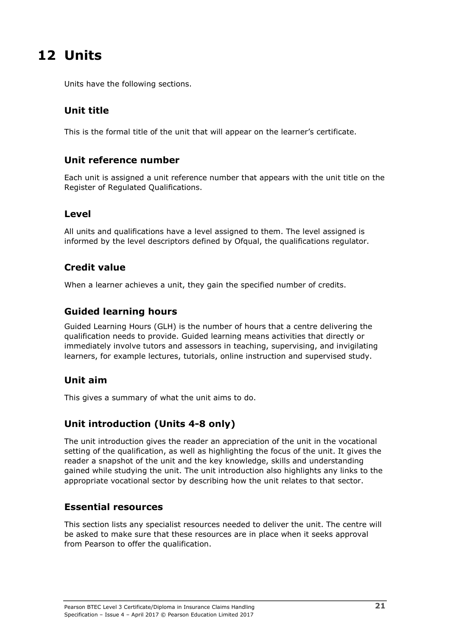# <span id="page-26-0"></span>**12 Units**

Units have the following sections.

## <span id="page-26-1"></span>**Unit title**

<span id="page-26-2"></span>This is the formal title of the unit that will appear on the learner's certificate.

### <span id="page-26-3"></span>**Unit reference number**

Each unit is assigned a unit reference number that appears with the unit title on the Register of Regulated Qualifications.

#### <span id="page-26-4"></span>**Level**

All units and qualifications have a level assigned to them. The level assigned is informed by the level descriptors defined by Ofqual, the qualifications regulator.

### <span id="page-26-5"></span>**Credit value**

<span id="page-26-6"></span>When a learner achieves a unit, they gain the specified number of credits.

### **Guided learning hours**

Guided Learning Hours (GLH) is the number of hours that a centre delivering the qualification needs to provide. Guided learning means activities that directly or immediately involve tutors and assessors in teaching, supervising, and invigilating learners, for example lectures, tutorials, online instruction and supervised study.

### <span id="page-26-7"></span>**Unit aim**

<span id="page-26-8"></span>This gives a summary of what the unit aims to do.

# **Unit introduction (Units 4-8 only)**

The unit introduction gives the reader an appreciation of the unit in the vocational setting of the qualification, as well as highlighting the focus of the unit. It gives the reader a snapshot of the unit and the key knowledge, skills and understanding gained while studying the unit. The unit introduction also highlights any links to the appropriate vocational sector by describing how the unit relates to that sector.

#### <span id="page-26-9"></span>**Essential resources**

This section lists any specialist resources needed to deliver the unit. The centre will be asked to make sure that these resources are in place when it seeks approval from Pearson to offer the qualification.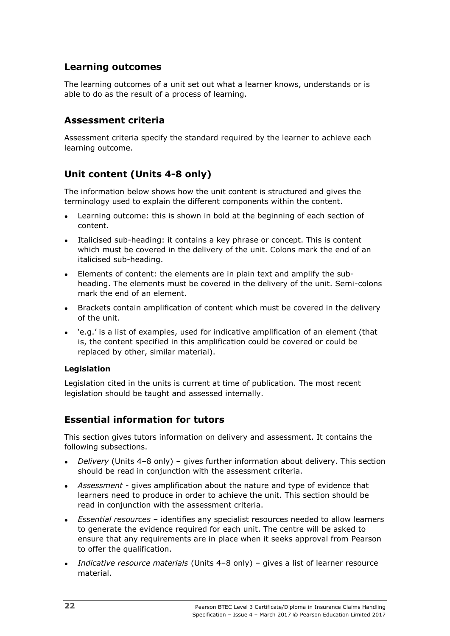### <span id="page-27-0"></span>**Learning outcomes**

The learning outcomes of a unit set out what a learner knows, understands or is able to do as the result of a process of learning.

#### <span id="page-27-1"></span>**Assessment criteria**

Assessment criteria specify the standard required by the learner to achieve each learning outcome.

## <span id="page-27-2"></span>**Unit content (Units 4-8 only)**

The information below shows how the unit content is structured and gives the terminology used to explain the different components within the content.

- Learning outcome: this is shown in bold at the beginning of each section of content.
- Italicised sub-heading: it contains a key phrase or concept. This is content which must be covered in the delivery of the unit. Colons mark the end of an italicised sub-heading.
- Elements of content: the elements are in plain text and amplify the subheading. The elements must be covered in the delivery of the unit. Semi-colons mark the end of an element.
- Brackets contain amplification of content which must be covered in the delivery of the unit.
- 'e.g.' is a list of examples, used for indicative amplification of an element (that is, the content specified in this amplification could be covered or could be replaced by other, similar material).

#### **Legislation**

Legislation cited in the units is current at time of publication. The most recent legislation should be taught and assessed internally.

### <span id="page-27-3"></span>**Essential information for tutors**

This section gives tutors information on delivery and assessment. It contains the following subsections.

- *Delivery* (Units 4–8 only) gives further information about delivery. This section should be read in conjunction with the assessment criteria.
- Assessment gives amplification about the nature and type of evidence that learners need to produce in order to achieve the unit. This section should be read in conjunction with the assessment criteria.
- *Essential resources* identifies any specialist resources needed to allow learners to generate the evidence required for each unit. The centre will be asked to ensure that any requirements are in place when it seeks approval from Pearson to offer the qualification.
- *Indicative resource materials* (Units 4–8 only) gives a list of learner resource material.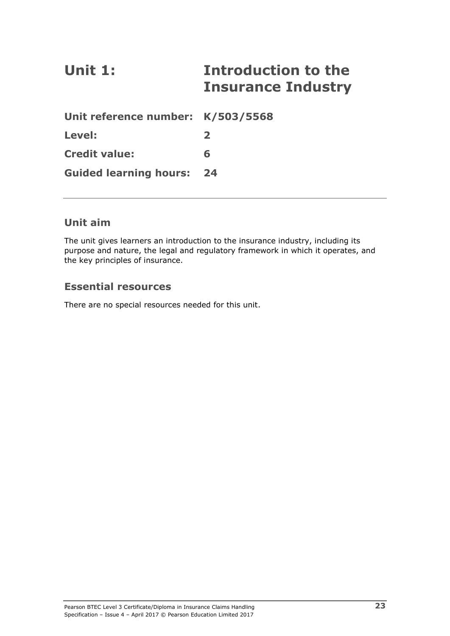# <span id="page-28-0"></span>**Unit 1: Introduction to the Insurance Industry**

| Unit reference number: K/503/5568 |                  |
|-----------------------------------|------------------|
| Level:                            | $\boldsymbol{z}$ |
| <b>Credit value:</b>              | 6                |
| <b>Guided learning hours: 24</b>  |                  |

### **Unit aim**

The unit gives learners an introduction to the insurance industry, including its purpose and nature, the legal and regulatory framework in which it operates, and the key principles of insurance.

### **Essential resources**

There are no special resources needed for this unit.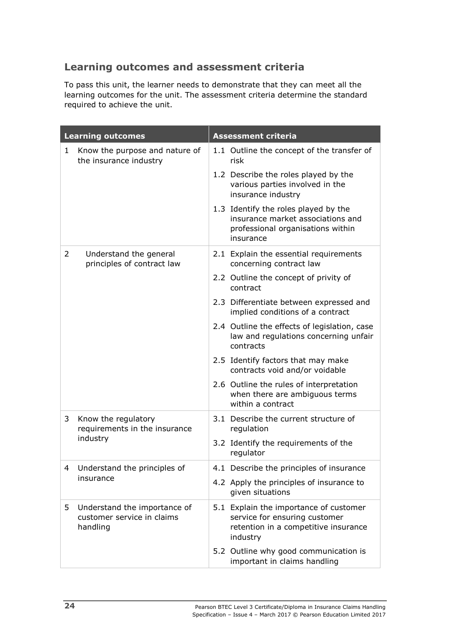# **Learning outcomes and assessment criteria**

To pass this unit, the learner needs to demonstrate that they can meet all the learning outcomes for the unit. The assessment criteria determine the standard required to achieve the unit.

| <b>Learning outcomes</b> |                                                                        | <b>Assessment criteria</b> |                                                                                                                             |  |
|--------------------------|------------------------------------------------------------------------|----------------------------|-----------------------------------------------------------------------------------------------------------------------------|--|
| 1                        | Know the purpose and nature of<br>the insurance industry               |                            | 1.1 Outline the concept of the transfer of<br>risk                                                                          |  |
|                          |                                                                        |                            | 1.2 Describe the roles played by the<br>various parties involved in the<br>insurance industry                               |  |
|                          |                                                                        |                            | 1.3 Identify the roles played by the<br>insurance market associations and<br>professional organisations within<br>insurance |  |
| 2                        | Understand the general<br>principles of contract law                   |                            | 2.1 Explain the essential requirements<br>concerning contract law                                                           |  |
|                          |                                                                        |                            | 2.2 Outline the concept of privity of<br>contract                                                                           |  |
|                          |                                                                        |                            | 2.3 Differentiate between expressed and<br>implied conditions of a contract                                                 |  |
|                          |                                                                        |                            | 2.4 Outline the effects of legislation, case<br>law and regulations concerning unfair<br>contracts                          |  |
|                          |                                                                        |                            | 2.5 Identify factors that may make<br>contracts void and/or voidable                                                        |  |
|                          |                                                                        |                            | 2.6 Outline the rules of interpretation<br>when there are ambiguous terms<br>within a contract                              |  |
| 3                        | Know the regulatory<br>requirements in the insurance                   |                            | 3.1 Describe the current structure of<br>regulation                                                                         |  |
|                          | industry                                                               |                            | 3.2 Identify the requirements of the<br>regulator                                                                           |  |
| 4                        | Understand the principles of                                           |                            | 4.1 Describe the principles of insurance                                                                                    |  |
|                          | insurance                                                              |                            | 4.2 Apply the principles of insurance to<br>given situations                                                                |  |
| 5                        | Understand the importance of<br>customer service in claims<br>handling |                            | 5.1 Explain the importance of customer<br>service for ensuring customer<br>retention in a competitive insurance<br>industry |  |
|                          |                                                                        |                            | 5.2 Outline why good communication is<br>important in claims handling                                                       |  |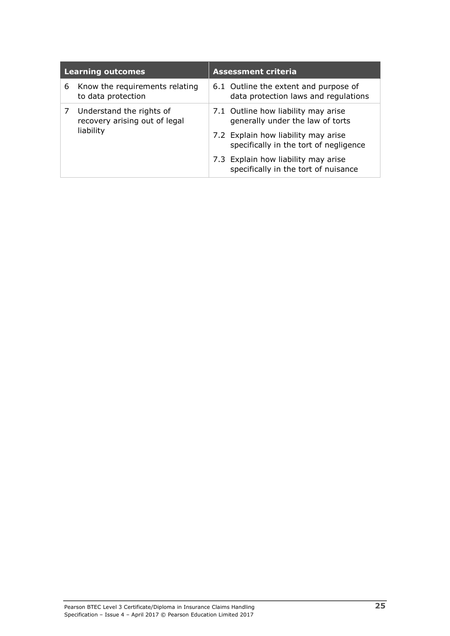|   | <b>Learning outcomes</b>                                  | <b>Assessment criteria</b>                                                    |  |
|---|-----------------------------------------------------------|-------------------------------------------------------------------------------|--|
| 6 | Know the requirements relating<br>to data protection      | 6.1 Outline the extent and purpose of<br>data protection laws and regulations |  |
|   | Understand the rights of<br>recovery arising out of legal | 7.1 Outline how liability may arise<br>generally under the law of torts       |  |
|   | liability                                                 | 7.2 Explain how liability may arise<br>specifically in the tort of negligence |  |
|   |                                                           | 7.3 Explain how liability may arise<br>specifically in the tort of nuisance   |  |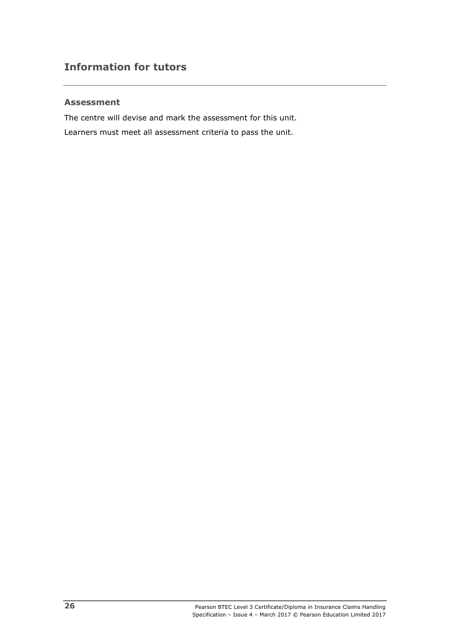#### **Assessment**

The centre will devise and mark the assessment for this unit. Learners must meet all assessment criteria to pass the unit.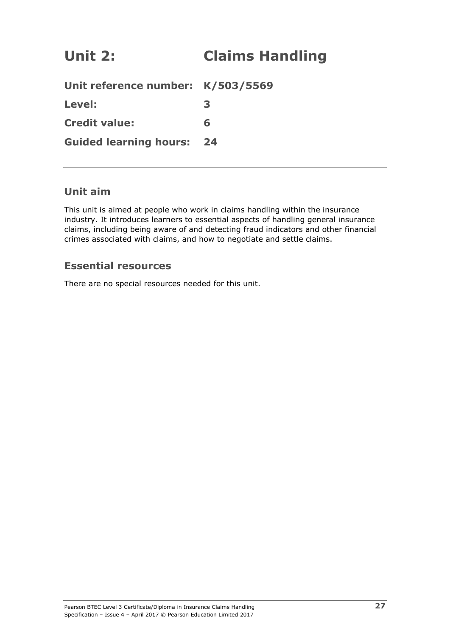# <span id="page-32-0"></span>**Unit 2: Claims Handling**

| Unit reference number: K/503/5569 |   |
|-----------------------------------|---|
| Level:                            | З |
| <b>Credit value:</b>              | 6 |
| <b>Guided learning hours: 24</b>  |   |

### **Unit aim**

This unit is aimed at people who work in claims handling within the insurance industry. It introduces learners to essential aspects of handling general insurance claims, including being aware of and detecting fraud indicators and other financial crimes associated with claims, and how to negotiate and settle claims.

### **Essential resources**

There are no special resources needed for this unit.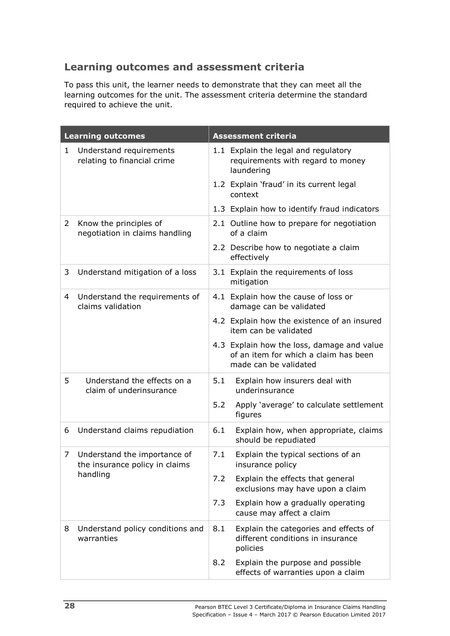# **Learning outcomes and assessment criteria**

To pass this unit, the learner needs to demonstrate that they can meet all the learning outcomes for the unit. The assessment criteria determine the standard required to achieve the unit.

|   | <b>Learning outcomes</b>                                                   |     | <b>Assessment criteria</b>                                                                                   |
|---|----------------------------------------------------------------------------|-----|--------------------------------------------------------------------------------------------------------------|
| 1 | Understand requirements<br>relating to financial crime                     |     | 1.1 Explain the legal and regulatory<br>requirements with regard to money<br>laundering                      |
|   |                                                                            |     | 1.2 Explain 'fraud' in its current legal<br>context                                                          |
|   |                                                                            |     | 1.3 Explain how to identify fraud indicators                                                                 |
| 2 | Know the principles of<br>negotiation in claims handling                   |     | 2.1 Outline how to prepare for negotiation<br>of a claim                                                     |
|   |                                                                            |     | 2.2 Describe how to negotiate a claim<br>effectively                                                         |
| 3 | Understand mitigation of a loss                                            |     | 3.1 Explain the requirements of loss<br>mitigation                                                           |
| 4 | Understand the requirements of<br>claims validation                        |     | 4.1 Explain how the cause of loss or<br>damage can be validated                                              |
|   |                                                                            |     | 4.2 Explain how the existence of an insured<br>item can be validated                                         |
|   |                                                                            |     | 4.3 Explain how the loss, damage and value<br>of an item for which a claim has been<br>made can be validated |
| 5 | Understand the effects on a<br>claim of underinsurance                     | 5.1 | Explain how insurers deal with<br>underinsurance                                                             |
|   |                                                                            | 5.2 | Apply 'average' to calculate settlement<br>figures                                                           |
| 6 | Understand claims repudiation                                              | 6.1 | Explain how, when appropriate, claims<br>should be repudiated                                                |
| 7 | Understand the importance of<br>the insurance policy in claims<br>handling | 7.1 | Explain the typical sections of an<br>insurance policy                                                       |
|   |                                                                            | 7.2 | Explain the effects that general<br>exclusions may have upon a claim                                         |
|   |                                                                            | 7.3 | Explain how a gradually operating<br>cause may affect a claim                                                |
| 8 | Understand policy conditions and<br>warranties                             | 8.1 | Explain the categories and effects of<br>different conditions in insurance<br>policies                       |
|   |                                                                            | 8.2 | Explain the purpose and possible<br>effects of warranties upon a claim                                       |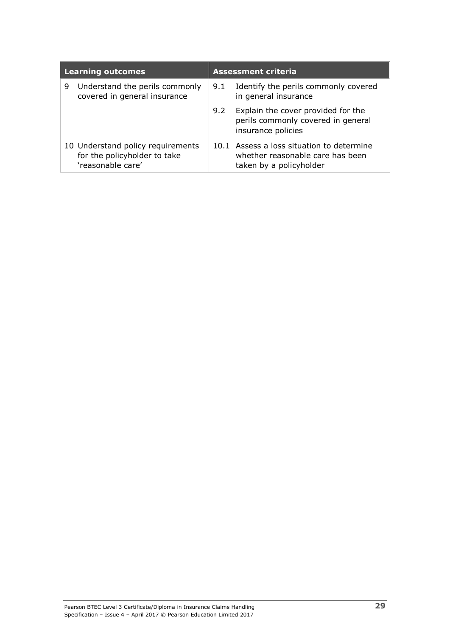| <b>Learning outcomes</b> |                                                                                        | <b>Assessment criteria</b> |                                                                                                          |
|--------------------------|----------------------------------------------------------------------------------------|----------------------------|----------------------------------------------------------------------------------------------------------|
| 9                        | Understand the perils commonly<br>covered in general insurance                         | 9.1                        | Identify the perils commonly covered<br>in general insurance                                             |
|                          |                                                                                        | 9.2                        | Explain the cover provided for the<br>perils commonly covered in general<br>insurance policies           |
|                          | 10 Understand policy requirements<br>for the policyholder to take<br>'reasonable care' |                            | 10.1 Assess a loss situation to determine<br>whether reasonable care has been<br>taken by a policyholder |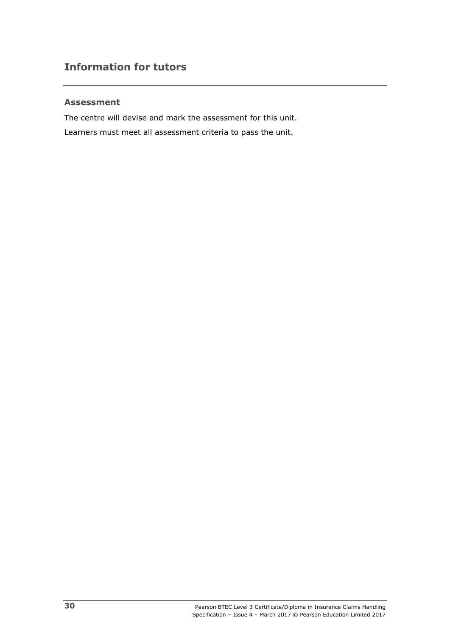#### **Assessment**

The centre will devise and mark the assessment for this unit. Learners must meet all assessment criteria to pass the unit.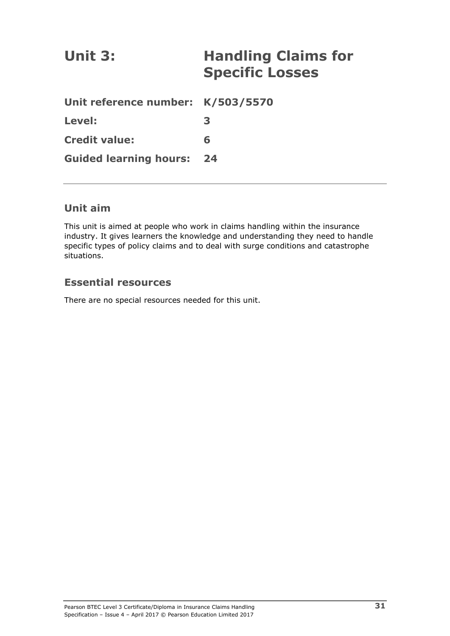| Unit 3:                           | <b>Handling Claims for</b><br><b>Specific Losses</b> |
|-----------------------------------|------------------------------------------------------|
| Unit reference number: K/503/5570 |                                                      |
| Level:                            | 3                                                    |
| <b>Credit value:</b>              | 6                                                    |
| <b>Guided learning hours:</b>     | 24                                                   |

# **Unit aim**

This unit is aimed at people who work in claims handling within the insurance industry. It gives learners the knowledge and understanding they need to handle specific types of policy claims and to deal with surge conditions and catastrophe situations.

# **Essential resources**

There are no special resources needed for this unit.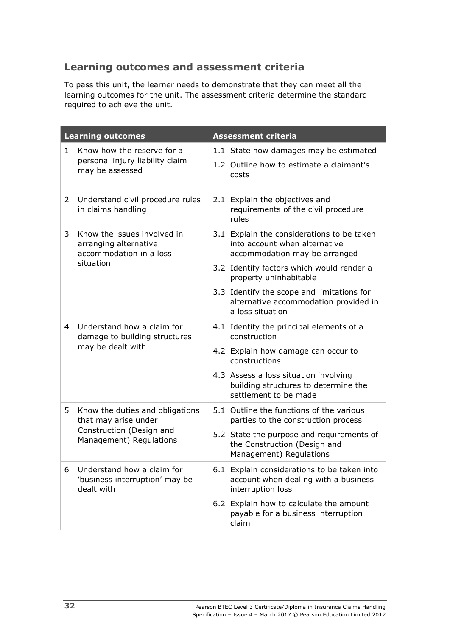# **Learning outcomes and assessment criteria**

To pass this unit, the learner needs to demonstrate that they can meet all the learning outcomes for the unit. The assessment criteria determine the standard required to achieve the unit.

| <b>Learning outcomes</b> |                                                                                  | <b>Assessment criteria</b> |                                                                                                              |  |
|--------------------------|----------------------------------------------------------------------------------|----------------------------|--------------------------------------------------------------------------------------------------------------|--|
| $\mathbf{1}$             | Know how the reserve for a<br>personal injury liability claim<br>may be assessed |                            | 1.1 State how damages may be estimated<br>1.2 Outline how to estimate a claimant's<br>costs                  |  |
| 2                        | Understand civil procedure rules<br>in claims handling                           |                            | 2.1 Explain the objectives and<br>requirements of the civil procedure<br>rules                               |  |
| 3.                       | Know the issues involved in<br>arranging alternative<br>accommodation in a loss  |                            | 3.1 Explain the considerations to be taken<br>into account when alternative<br>accommodation may be arranged |  |
|                          | situation                                                                        |                            | 3.2 Identify factors which would render a<br>property uninhabitable                                          |  |
|                          |                                                                                  |                            | 3.3 Identify the scope and limitations for<br>alternative accommodation provided in<br>a loss situation      |  |
| 4                        | Understand how a claim for<br>damage to building structures<br>may be dealt with |                            | 4.1 Identify the principal elements of a<br>construction                                                     |  |
|                          |                                                                                  |                            | 4.2 Explain how damage can occur to<br>constructions                                                         |  |
|                          |                                                                                  |                            | 4.3 Assess a loss situation involving<br>building structures to determine the<br>settlement to be made       |  |
| 5.                       | Know the duties and obligations<br>that may arise under                          |                            | 5.1 Outline the functions of the various<br>parties to the construction process                              |  |
|                          | Construction (Design and<br>Management) Regulations                              |                            | 5.2 State the purpose and requirements of<br>the Construction (Design and<br>Management) Regulations         |  |
| 6                        | Understand how a claim for<br>'business interruption' may be<br>dealt with       |                            | 6.1 Explain considerations to be taken into<br>account when dealing with a business<br>interruption loss     |  |
|                          |                                                                                  |                            | 6.2 Explain how to calculate the amount<br>payable for a business interruption<br>claim                      |  |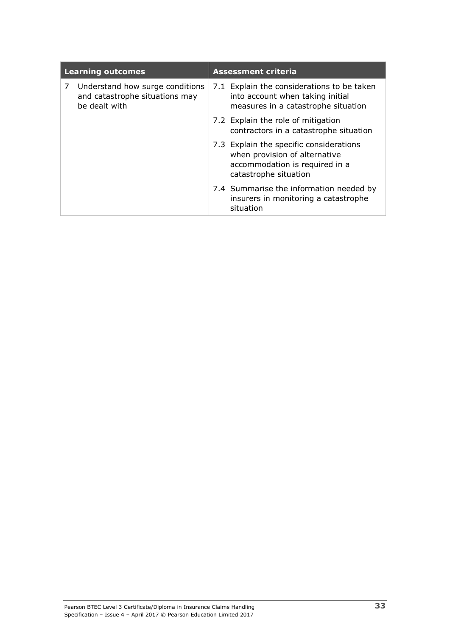| <b>Learning outcomes</b> |                                                                                    | <b>Assessment criteria</b> |                                                                                                                                     |  |
|--------------------------|------------------------------------------------------------------------------------|----------------------------|-------------------------------------------------------------------------------------------------------------------------------------|--|
| 7                        | Understand how surge conditions<br>and catastrophe situations may<br>be dealt with |                            | 7.1 Explain the considerations to be taken<br>into account when taking initial<br>measures in a catastrophe situation               |  |
|                          |                                                                                    |                            | 7.2 Explain the role of mitigation<br>contractors in a catastrophe situation                                                        |  |
|                          |                                                                                    |                            | 7.3 Explain the specific considerations<br>when provision of alternative<br>accommodation is required in a<br>catastrophe situation |  |
|                          |                                                                                    |                            | 7.4 Summarise the information needed by<br>insurers in monitoring a catastrophe<br>situation                                        |  |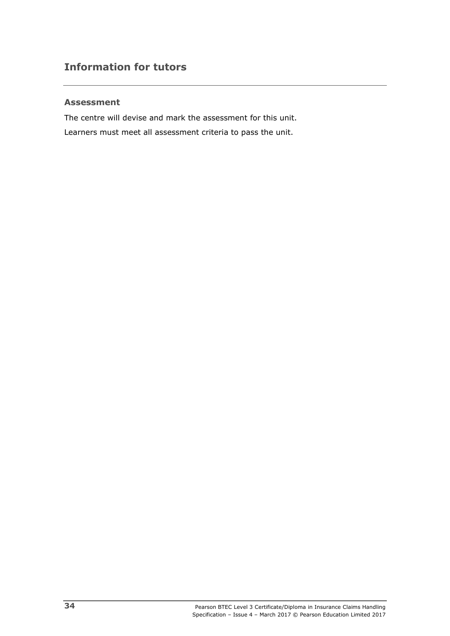## **Assessment**

The centre will devise and mark the assessment for this unit. Learners must meet all assessment criteria to pass the unit.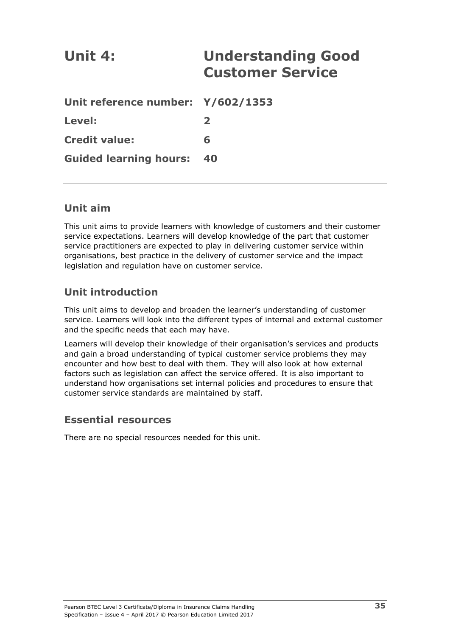| Unit 4:                           | <b>Understanding Good</b><br><b>Customer Service</b> |
|-----------------------------------|------------------------------------------------------|
| Unit reference number: Y/602/1353 |                                                      |
| Level:                            | $\overline{\mathbf{2}}$                              |
| <b>Credit value:</b>              | 6                                                    |
| <b>Guided learning hours:</b>     | 40                                                   |

# **Unit aim**

This unit aims to provide learners with knowledge of customers and their customer service expectations. Learners will develop knowledge of the part that customer service practitioners are expected to play in delivering customer service within organisations, best practice in the delivery of customer service and the impact legislation and regulation have on customer service.

# **Unit introduction**

This unit aims to develop and broaden the learner's understanding of customer service. Learners will look into the different types of internal and external customer and the specific needs that each may have.

Learners will develop their knowledge of their organisation's services and products and gain a broad understanding of typical customer service problems they may encounter and how best to deal with them. They will also look at how external factors such as legislation can affect the service offered. It is also important to understand how organisations set internal policies and procedures to ensure that customer service standards are maintained by staff.

# **Essential resources**

There are no special resources needed for this unit.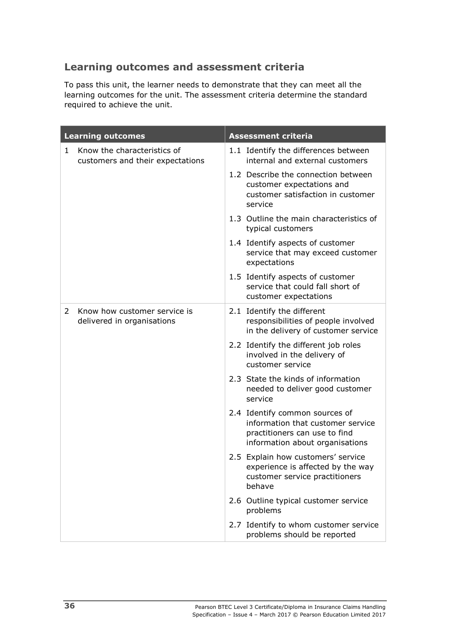# **Learning outcomes and assessment criteria**

To pass this unit, the learner needs to demonstrate that they can meet all the learning outcomes for the unit. The assessment criteria determine the standard required to achieve the unit.

| <b>Learning outcomes</b> |                                                                 | <b>Assessment criteria</b>                                                                                                              |  |  |
|--------------------------|-----------------------------------------------------------------|-----------------------------------------------------------------------------------------------------------------------------------------|--|--|
| 1                        | Know the characteristics of<br>customers and their expectations | 1.1 Identify the differences between<br>internal and external customers                                                                 |  |  |
|                          |                                                                 | 1.2 Describe the connection between<br>customer expectations and<br>customer satisfaction in customer<br>service                        |  |  |
|                          |                                                                 | 1.3 Outline the main characteristics of<br>typical customers                                                                            |  |  |
|                          |                                                                 | 1.4 Identify aspects of customer<br>service that may exceed customer<br>expectations                                                    |  |  |
|                          |                                                                 | 1.5 Identify aspects of customer<br>service that could fall short of<br>customer expectations                                           |  |  |
| 2                        | Know how customer service is<br>delivered in organisations      | 2.1 Identify the different<br>responsibilities of people involved<br>in the delivery of customer service                                |  |  |
|                          |                                                                 | 2.2 Identify the different job roles<br>involved in the delivery of<br>customer service                                                 |  |  |
|                          |                                                                 | 2.3 State the kinds of information<br>needed to deliver good customer<br>service                                                        |  |  |
|                          |                                                                 | 2.4 Identify common sources of<br>information that customer service<br>practitioners can use to find<br>information about organisations |  |  |
|                          |                                                                 | 2.5 Explain how customers' service<br>experience is affected by the way<br>customer service practitioners<br>behave                     |  |  |
|                          |                                                                 | 2.6 Outline typical customer service<br>problems                                                                                        |  |  |
|                          |                                                                 | 2.7 Identify to whom customer service<br>problems should be reported                                                                    |  |  |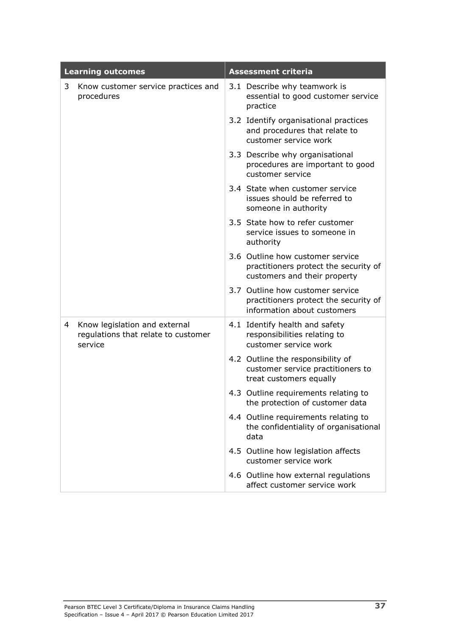|   | <b>Learning outcomes</b>                                                        | <b>Assessment criteria</b>                                                                                |  |  |
|---|---------------------------------------------------------------------------------|-----------------------------------------------------------------------------------------------------------|--|--|
| 3 | Know customer service practices and<br>procedures                               | 3.1 Describe why teamwork is<br>essential to good customer service<br>practice                            |  |  |
|   |                                                                                 | 3.2 Identify organisational practices<br>and procedures that relate to<br>customer service work           |  |  |
|   |                                                                                 | 3.3 Describe why organisational<br>procedures are important to good<br>customer service                   |  |  |
|   |                                                                                 | 3.4 State when customer service<br>issues should be referred to<br>someone in authority                   |  |  |
|   |                                                                                 | 3.5 State how to refer customer<br>service issues to someone in<br>authority                              |  |  |
|   |                                                                                 | 3.6 Outline how customer service<br>practitioners protect the security of<br>customers and their property |  |  |
|   |                                                                                 | 3.7 Outline how customer service<br>practitioners protect the security of<br>information about customers  |  |  |
| 4 | Know legislation and external<br>regulations that relate to customer<br>service | 4.1 Identify health and safety<br>responsibilities relating to<br>customer service work                   |  |  |
|   |                                                                                 | 4.2 Outline the responsibility of<br>customer service practitioners to<br>treat customers equally         |  |  |
|   |                                                                                 | 4.3 Outline requirements relating to<br>the protection of customer data                                   |  |  |
|   |                                                                                 | 4.4 Outline requirements relating to<br>the confidentiality of organisational<br>data                     |  |  |
|   |                                                                                 | 4.5 Outline how legislation affects<br>customer service work                                              |  |  |
|   |                                                                                 | 4.6 Outline how external regulations<br>affect customer service work                                      |  |  |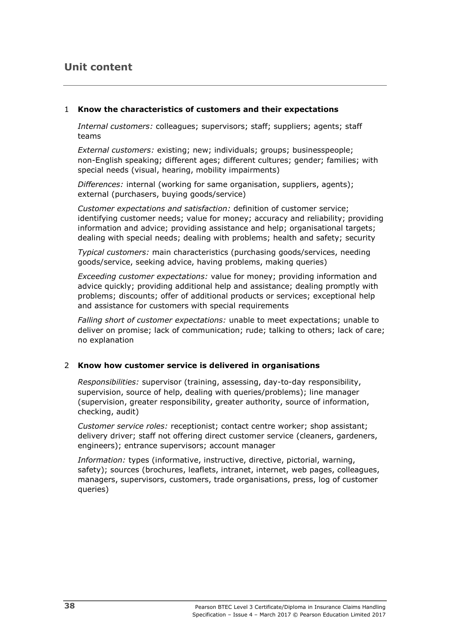# **Unit content**

### 1 **Know the characteristics of customers and their expectations**

*Internal customers:* colleagues; supervisors; staff; suppliers; agents; staff teams

*External customers:* existing; new; individuals; groups; businesspeople; non-English speaking; different ages; different cultures; gender; families; with special needs (visual, hearing, mobility impairments)

*Differences:* internal (working for same organisation, suppliers, agents); external (purchasers, buying goods/service)

*Customer expectations and satisfaction:* definition of customer service; identifying customer needs; value for money; accuracy and reliability; providing information and advice; providing assistance and help; organisational targets; dealing with special needs; dealing with problems; health and safety; security

*Typical customers:* main characteristics (purchasing goods/services, needing goods/service, seeking advice, having problems, making queries)

*Exceeding customer expectations:* value for money; providing information and advice quickly; providing additional help and assistance; dealing promptly with problems; discounts; offer of additional products or services; exceptional help and assistance for customers with special requirements

*Falling short of customer expectations:* unable to meet expectations; unable to deliver on promise; lack of communication; rude; talking to others; lack of care; no explanation

## 2 **Know how customer service is delivered in organisations**

*Responsibilities:* supervisor (training, assessing, day-to-day responsibility, supervision, source of help, dealing with queries/problems); line manager (supervision, greater responsibility, greater authority, source of information, checking, audit)

*Customer service roles:* receptionist; contact centre worker; shop assistant; delivery driver; staff not offering direct customer service (cleaners, gardeners, engineers); entrance supervisors; account manager

*Information:* types (informative, instructive, directive, pictorial, warning, safety); sources (brochures, leaflets, intranet, internet, web pages, colleagues, managers, supervisors, customers, trade organisations, press, log of customer queries)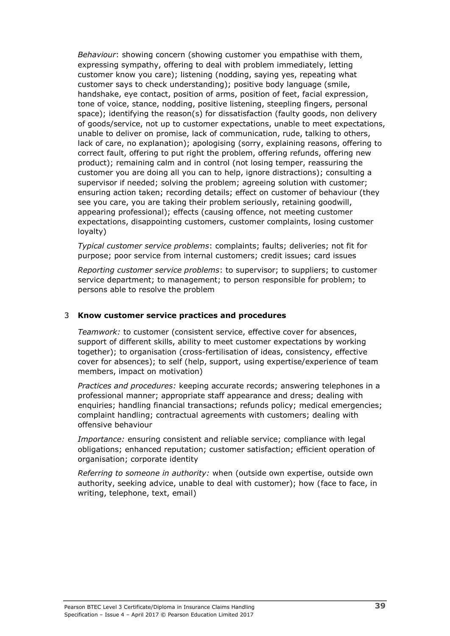*Behaviour*: showing concern (showing customer you empathise with them, expressing sympathy, offering to deal with problem immediately, letting customer know you care); listening (nodding, saying yes, repeating what customer says to check understanding); positive body language (smile, handshake, eye contact, position of arms, position of feet, facial expression, tone of voice, stance, nodding, positive listening, steepling fingers, personal space); identifying the reason(s) for dissatisfaction (faulty goods, non delivery of goods/service, not up to customer expectations, unable to meet expectations, unable to deliver on promise, lack of communication, rude, talking to others, lack of care, no explanation); apologising (sorry, explaining reasons, offering to correct fault, offering to put right the problem, offering refunds, offering new product); remaining calm and in control (not losing temper, reassuring the customer you are doing all you can to help, ignore distractions); consulting a supervisor if needed; solving the problem; agreeing solution with customer; ensuring action taken; recording details; effect on customer of behaviour (they see you care, you are taking their problem seriously, retaining goodwill, appearing professional); effects (causing offence, not meeting customer expectations, disappointing customers, customer complaints, losing customer loyalty)

*Typical customer service problems*: complaints; faults; deliveries; not fit for purpose; poor service from internal customers; credit issues; card issues

*Reporting customer service problems*: to supervisor; to suppliers; to customer service department; to management; to person responsible for problem; to persons able to resolve the problem

## 3 **Know customer service practices and procedures**

*Teamwork:* to customer (consistent service, effective cover for absences, support of different skills, ability to meet customer expectations by working together); to organisation (cross-fertilisation of ideas, consistency, effective cover for absences); to self (help, support, using expertise/experience of team members, impact on motivation)

*Practices and procedures:* keeping accurate records; answering telephones in a professional manner; appropriate staff appearance and dress; dealing with enquiries; handling financial transactions; refunds policy; medical emergencies; complaint handling; contractual agreements with customers; dealing with offensive behaviour

*Importance:* ensuring consistent and reliable service; compliance with legal obligations; enhanced reputation; customer satisfaction; efficient operation of organisation; corporate identity

*Referring to someone in authority:* when (outside own expertise, outside own authority, seeking advice, unable to deal with customer); how (face to face, in writing, telephone, text, email)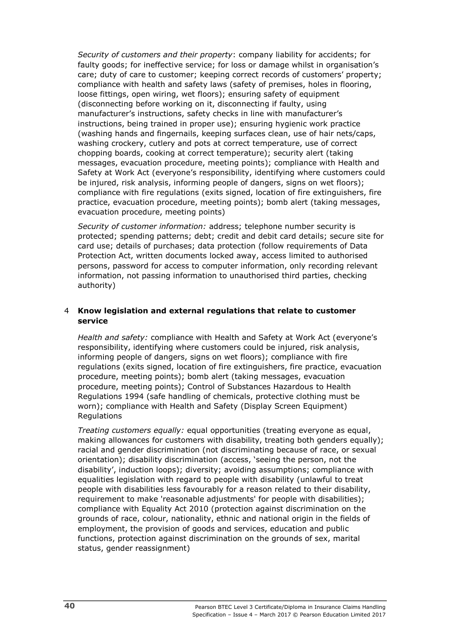*Security of customers and their property*: company liability for accidents; for faulty goods; for ineffective service; for loss or damage whilst in organisation's care; duty of care to customer; keeping correct records of customers' property; compliance with health and safety laws (safety of premises, holes in flooring, loose fittings, open wiring, wet floors); ensuring safety of equipment (disconnecting before working on it, disconnecting if faulty, using manufacturer's instructions, safety checks in line with manufacturer's instructions, being trained in proper use); ensuring hygienic work practice (washing hands and fingernails, keeping surfaces clean, use of hair nets/caps, washing crockery, cutlery and pots at correct temperature, use of correct chopping boards, cooking at correct temperature); security alert (taking messages, evacuation procedure, meeting points); compliance with Health and Safety at Work Act (everyone's responsibility, identifying where customers could be injured, risk analysis, informing people of dangers, signs on wet floors); compliance with fire regulations (exits signed, location of fire extinguishers, fire practice, evacuation procedure, meeting points); bomb alert (taking messages, evacuation procedure, meeting points)

*Security of customer information:* address; telephone number security is protected; spending patterns; debt; credit and debit card details; secure site for card use; details of purchases; data protection (follow requirements of Data Protection Act, written documents locked away, access limited to authorised persons, password for access to computer information, only recording relevant information, not passing information to unauthorised third parties, checking authority)

### 4 **Know legislation and external regulations that relate to customer service**

*Health and safety:* compliance with Health and Safety at Work Act (everyone's responsibility, identifying where customers could be injured, risk analysis, informing people of dangers, signs on wet floors); compliance with fire regulations (exits signed, location of fire extinguishers, fire practice, evacuation procedure, meeting points); bomb alert (taking messages, evacuation procedure, meeting points); Control of Substances Hazardous to Health Regulations 1994 (safe handling of chemicals, protective clothing must be worn); compliance with Health and Safety (Display Screen Equipment) Regulations

*Treating customers equally:* equal opportunities (treating everyone as equal, making allowances for customers with disability, treating both genders equally); racial and gender discrimination (not discriminating because of race, or sexual orientation); disability discrimination (access, 'seeing the person, not the disability', induction loops); diversity; avoiding assumptions; compliance with equalities legislation with regard to people with disability (unlawful to treat people with disabilities less favourably for a reason related to their disability, requirement to make 'reasonable adjustments' for people with disabilities); compliance with Equality Act 2010 (protection against discrimination on the grounds of race, colour, nationality, ethnic and national origin in the fields of employment, the provision of goods and services, education and public functions, protection against discrimination on the grounds of sex, marital status, gender reassignment)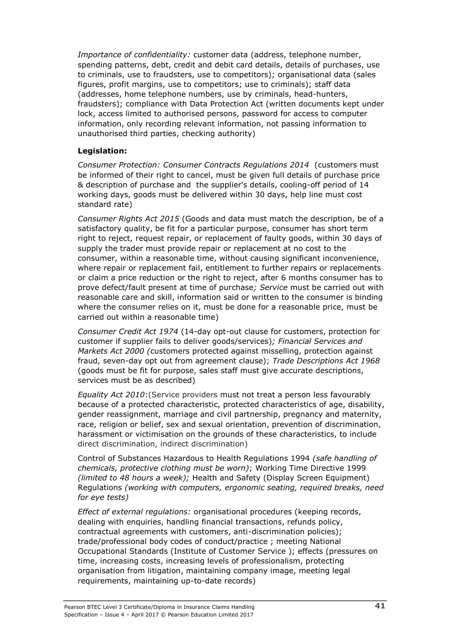*Importance of confidentiality:* customer data (address, telephone number, spending patterns, debt, credit and debit card details, details of purchases, use to criminals, use to fraudsters, use to competitors); organisational data (sales figures, profit margins, use to competitors; use to criminals); staff data (addresses, home telephone numbers, use by criminals, head-hunters, fraudsters); compliance with Data Protection Act (written documents kept under lock, access limited to authorised persons, password for access to computer information, only recording relevant information, not passing information to unauthorised third parties, checking authority)

## **Legislation:**

*Consumer Protection: Consumer Contracts Regulations 2014* (customers must be informed of their right to cancel, must be given full details of purchase price & description of purchase and the supplier's details, cooling-off period of 14 working days, goods must be delivered within 30 days, help line must cost standard rate)

*Consumer Rights Act 2015* (Goods and data must match the description, be of a satisfactory quality, be fit for a particular purpose, consumer has short term right to reject, request repair, or replacement of faulty goods, within 30 days of supply the trader must provide repair or replacement at no cost to the consumer, within a reasonable time, without causing significant inconvenience, where repair or replacement fail, entitlement to further repairs or replacements or claim a price reduction or the right to reject, after 6 months consumer has to prove defect/fault present at time of purchase*; Service* must be carried out with reasonable care and skill, information said or written to the consumer is binding where the consumer relies on it, must be done for a reasonable price, must be carried out within a reasonable time)

*Consumer Credit Act 1974* (14-day opt-out clause for customers, protection for customer if supplier fails to deliver goods/services)*; Financial Services and Markets Act 2000 (*customers protected against misselling, protection against fraud, seven-day opt out from agreement clause); *Trade Descriptions Act 1968*  (goods must be fit for purpose, sales staff must give accurate descriptions, services must be as described)

*Equality Act 2010*:(Service providers must not treat a person less favourably because of a protected characteristic, protected characteristics of age, disability, gender reassignment, marriage and civil partnership, pregnancy and maternity, race, religion or belief, sex and sexual orientation, prevention of discrimination, harassment or victimisation on the grounds of these characteristics, to include direct discrimination, indirect discrimination)

Control of Substances Hazardous to Health Regulations 1994 *(safe handling of chemicals, protective clothing must be worn)*; Working Time Directive 1999 *(limited to 48 hours a week);* Health and Safety (Display Screen Equipment) Regulations *(working with computers, ergonomic seating, required breaks, need for eye tests)*

*Effect of external regulations:* organisational procedures (keeping records, dealing with enquiries, handling financial transactions, refunds policy, contractual agreements with customers, anti-discrimination policies); trade/professional body codes of conduct/practice ; meeting National Occupational Standards (Institute of Customer Service ); effects (pressures on time, increasing costs, increasing levels of professionalism, protecting organisation from litigation, maintaining company image, meeting legal requirements, maintaining up-to-date records)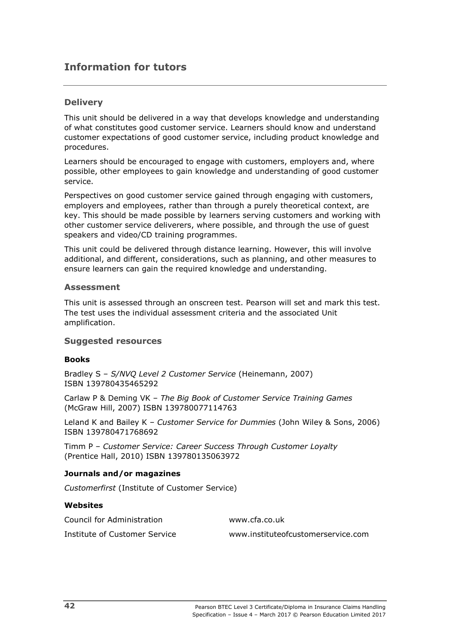# **Information for tutors**

## **Delivery**

This unit should be delivered in a way that develops knowledge and understanding of what constitutes good customer service. Learners should know and understand customer expectations of good customer service, including product knowledge and procedures.

Learners should be encouraged to engage with customers, employers and, where possible, other employees to gain knowledge and understanding of good customer service.

Perspectives on good customer service gained through engaging with customers, employers and employees, rather than through a purely theoretical context, are key. This should be made possible by learners serving customers and working with other customer service deliverers, where possible, and through the use of guest speakers and video/CD training programmes.

This unit could be delivered through distance learning. However, this will involve additional, and different, considerations, such as planning, and other measures to ensure learners can gain the required knowledge and understanding.

### **Assessment**

This unit is assessed through an onscreen test. Pearson will set and mark this test. The test uses the individual assessment criteria and the associated Unit amplification.

## **Suggested resources**

### **Books**

Bradley S – *S/NVQ Level 2 Customer Service* (Heinemann, 2007) ISBN 139780435465292

Carlaw P & Deming VK – *The Big Book of Customer Service Training Games*  (McGraw Hill, 2007) ISBN 139780077114763

Leland K and Bailey K – *Customer Service for Dummies* (John Wiley & Sons, 2006) ISBN 139780471768692

Timm P – *Customer Service: Career Success Through Customer Loyalty* (Prentice Hall, 2010) ISBN 139780135063972

### **Journals and/or magazines**

*Customerfirst* (Institute of Customer Service)

## **Websites**

Council for Administration www.cfa.co.uk

Institute of Customer Service [www.instituteofcustomerservice.com](http://www.instituteofcustomerservice.com/)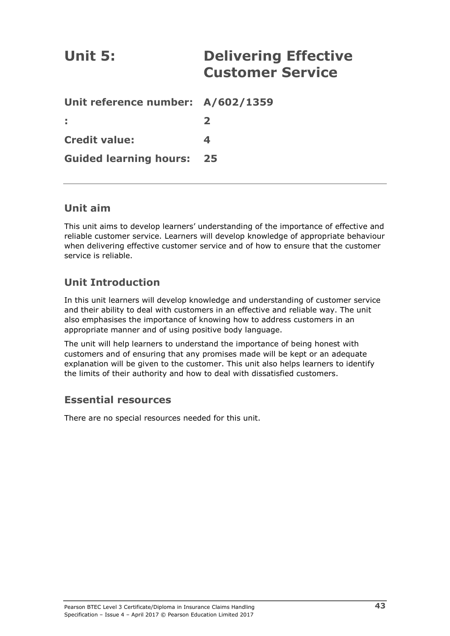| Unit 5:                           | <b>Delivering Effective</b><br><b>Customer Service</b> |
|-----------------------------------|--------------------------------------------------------|
| Unit reference number: A/602/1359 |                                                        |
|                                   | $\mathbf{2}$                                           |
| <b>Credit value:</b>              | 4                                                      |
| <b>Guided learning hours:</b>     | 25                                                     |

# **Unit aim**

This unit aims to develop learners' understanding of the importance of effective and reliable customer service. Learners will develop knowledge of appropriate behaviour when delivering effective customer service and of how to ensure that the customer service is reliable.

# **Unit Introduction**

In this unit learners will develop knowledge and understanding of customer service and their ability to deal with customers in an effective and reliable way. The unit also emphasises the importance of knowing how to address customers in an appropriate manner and of using positive body language.

The unit will help learners to understand the importance of being honest with customers and of ensuring that any promises made will be kept or an adequate explanation will be given to the customer. This unit also helps learners to identify the limits of their authority and how to deal with dissatisfied customers.

## **Essential resources**

There are no special resources needed for this unit.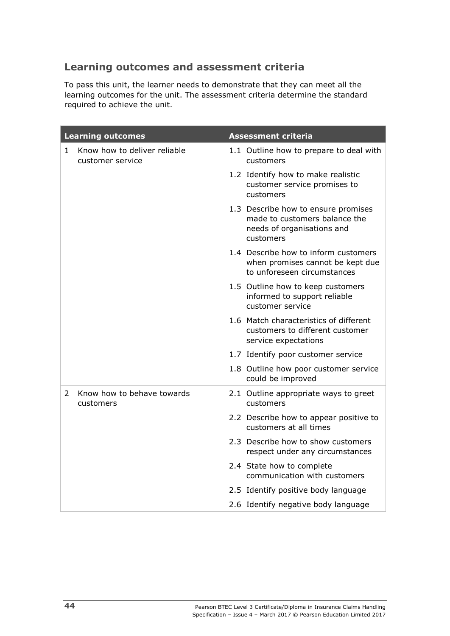# **Learning outcomes and assessment criteria**

To pass this unit, the learner needs to demonstrate that they can meet all the learning outcomes for the unit. The assessment criteria determine the standard required to achieve the unit.

| <b>Learning outcomes</b>                                         | <b>Assessment criteria</b>                                                                                      |  |  |
|------------------------------------------------------------------|-----------------------------------------------------------------------------------------------------------------|--|--|
| Know how to deliver reliable<br>$\mathbf{1}$<br>customer service | 1.1 Outline how to prepare to deal with<br>customers                                                            |  |  |
|                                                                  | 1.2 Identify how to make realistic<br>customer service promises to<br>customers                                 |  |  |
|                                                                  | 1.3 Describe how to ensure promises<br>made to customers balance the<br>needs of organisations and<br>customers |  |  |
|                                                                  | 1.4 Describe how to inform customers<br>when promises cannot be kept due<br>to unforeseen circumstances         |  |  |
|                                                                  | 1.5 Outline how to keep customers<br>informed to support reliable<br>customer service                           |  |  |
|                                                                  | 1.6 Match characteristics of different<br>customers to different customer<br>service expectations               |  |  |
|                                                                  | 1.7 Identify poor customer service                                                                              |  |  |
|                                                                  | 1.8 Outline how poor customer service<br>could be improved                                                      |  |  |
| Know how to behave towards<br>$\mathcal{L}$<br>customers         | 2.1 Outline appropriate ways to greet<br>customers                                                              |  |  |
|                                                                  | 2.2 Describe how to appear positive to<br>customers at all times                                                |  |  |
|                                                                  | 2.3 Describe how to show customers<br>respect under any circumstances                                           |  |  |
|                                                                  | 2.4 State how to complete<br>communication with customers                                                       |  |  |
|                                                                  | 2.5 Identify positive body language                                                                             |  |  |
|                                                                  | 2.6 Identify negative body language                                                                             |  |  |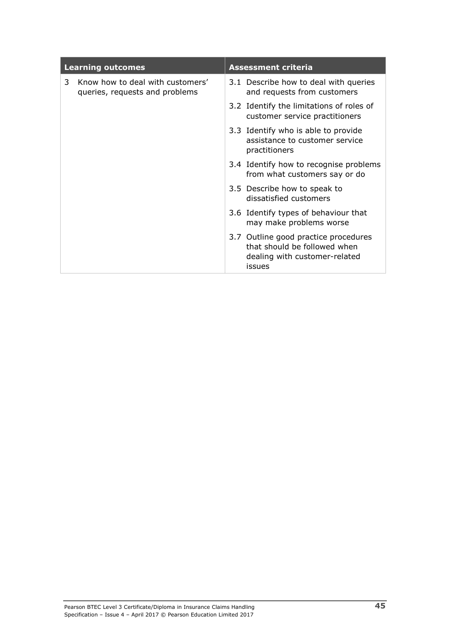| <b>Learning outcomes</b> |                                                                    | <b>Assessment criteria</b> |                                                                                                                 |  |
|--------------------------|--------------------------------------------------------------------|----------------------------|-----------------------------------------------------------------------------------------------------------------|--|
| 3                        | Know how to deal with customers'<br>queries, requests and problems |                            | 3.1 Describe how to deal with queries<br>and requests from customers                                            |  |
|                          |                                                                    |                            | 3.2 Identify the limitations of roles of<br>customer service practitioners                                      |  |
|                          |                                                                    |                            | 3.3 Identify who is able to provide<br>assistance to customer service<br>practitioners                          |  |
|                          |                                                                    |                            | 3.4 Identify how to recognise problems<br>from what customers say or do                                         |  |
|                          |                                                                    |                            | 3.5 Describe how to speak to<br>dissatisfied customers                                                          |  |
|                          |                                                                    |                            | 3.6 Identify types of behaviour that<br>may make problems worse                                                 |  |
|                          |                                                                    |                            | 3.7 Outline good practice procedures<br>that should be followed when<br>dealing with customer-related<br>issues |  |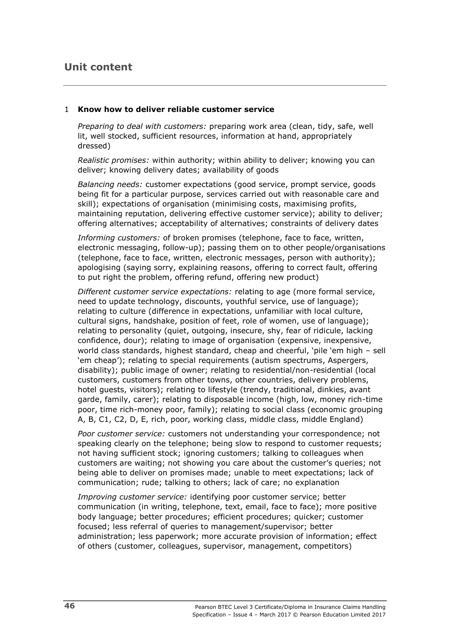# **Unit content**

### 1 **Know how to deliver reliable customer service**

*Preparing to deal with customers:* preparing work area (clean, tidy, safe, well lit, well stocked, sufficient resources, information at hand, appropriately dressed)

*Realistic promises:* within authority; within ability to deliver; knowing you can deliver; knowing delivery dates; availability of goods

*Balancing needs:* customer expectations (good service, prompt service, goods being fit for a particular purpose, services carried out with reasonable care and skill); expectations of organisation (minimising costs, maximising profits, maintaining reputation, delivering effective customer service); ability to deliver; offering alternatives; acceptability of alternatives; constraints of delivery dates

*Informing customers:* of broken promises (telephone, face to face, written, electronic messaging, follow-up); passing them on to other people/organisations (telephone, face to face, written, electronic messages, person with authority); apologising (saying sorry, explaining reasons, offering to correct fault, offering to put right the problem, offering refund, offering new product)

*Different customer service expectations:* relating to age (more formal service, need to update technology, discounts, youthful service, use of language); relating to culture (difference in expectations, unfamiliar with local culture, cultural signs, handshake, position of feet, role of women, use of language); relating to personality (quiet, outgoing, insecure, shy, fear of ridicule, lacking confidence, dour); relating to image of organisation (expensive, inexpensive, world class standards, highest standard, cheap and cheerful, 'pile 'em high – sell 'em cheap'); relating to special requirements (autism spectrums, Aspergers, disability); public image of owner; relating to residential/non-residential (local customers, customers from other towns, other countries, delivery problems, hotel guests, visitors); relating to lifestyle (trendy, traditional, dinkies, avant garde, family, carer); relating to disposable income (high, low, money rich-time poor, time rich-money poor, family); relating to social class (economic grouping A, B, C1, C2, D, E, rich, poor, working class, middle class, middle England)

*Poor customer service:* customers not understanding your correspondence; not speaking clearly on the telephone; being slow to respond to customer requests; not having sufficient stock; ignoring customers; talking to colleagues when customers are waiting; not showing you care about the customer's queries; not being able to deliver on promises made; unable to meet expectations; lack of communication; rude; talking to others; lack of care; no explanation

*Improving customer service:* identifying poor customer service; better communication (in writing, telephone, text, email, face to face); more positive body language; better procedures; efficient procedures; quicker; customer focused; less referral of queries to management/supervisor; better administration; less paperwork; more accurate provision of information; effect of others (customer, colleagues, supervisor, management, competitors)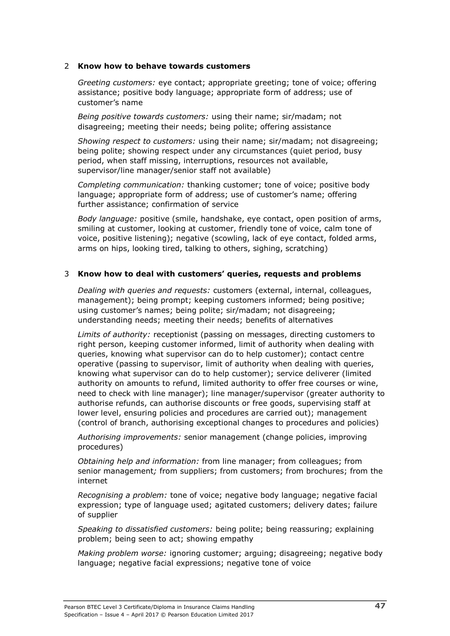### 2 **Know how to behave towards customers**

*Greeting customers:* eye contact; appropriate greeting; tone of voice; offering assistance; positive body language; appropriate form of address; use of customer's name

*Being positive towards customers:* using their name; sir/madam; not disagreeing; meeting their needs; being polite; offering assistance

*Showing respect to customers:* using their name; sir/madam; not disagreeing; being polite; showing respect under any circumstances (quiet period, busy period, when staff missing, interruptions, resources not available, supervisor/line manager/senior staff not available)

*Completing communication:* thanking customer; tone of voice; positive body language; appropriate form of address; use of customer's name; offering further assistance; confirmation of service

*Body language:* positive (smile, handshake, eye contact, open position of arms, smiling at customer, looking at customer, friendly tone of voice, calm tone of voice, positive listening); negative (scowling, lack of eye contact, folded arms, arms on hips, looking tired, talking to others, sighing, scratching)

## 3 **Know how to deal with customers' queries, requests and problems**

*Dealing with queries and requests:* customers (external, internal, colleagues, management); being prompt; keeping customers informed; being positive; using customer's names; being polite; sir/madam; not disagreeing; understanding needs; meeting their needs; benefits of alternatives

*Limits of authority:* receptionist (passing on messages, directing customers to right person, keeping customer informed, limit of authority when dealing with queries, knowing what supervisor can do to help customer); contact centre operative (passing to supervisor, limit of authority when dealing with queries, knowing what supervisor can do to help customer); service deliverer (limited authority on amounts to refund, limited authority to offer free courses or wine, need to check with line manager); line manager/supervisor (greater authority to authorise refunds, can authorise discounts or free goods, supervising staff at lower level, ensuring policies and procedures are carried out); management (control of branch, authorising exceptional changes to procedures and policies)

*Authorising improvements:* senior management (change policies, improving procedures)

*Obtaining help and information:* from line manager; from colleagues; from senior management*;* from suppliers; from customers; from brochures; from the internet

*Recognising a problem:* tone of voice; negative body language; negative facial expression; type of language used; agitated customers; delivery dates; failure of supplier

*Speaking to dissatisfied customers:* being polite; being reassuring; explaining problem; being seen to act; showing empathy

*Making problem worse:* ignoring customer; arguing; disagreeing; negative body language; negative facial expressions; negative tone of voice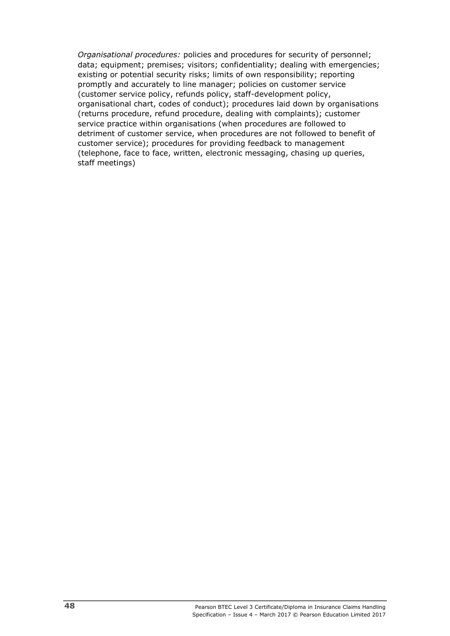*Organisational procedures:* policies and procedures for security of personnel; data; equipment; premises; visitors; confidentiality; dealing with emergencies; existing or potential security risks; limits of own responsibility; reporting promptly and accurately to line manager; policies on customer service (customer service policy, refunds policy, staff-development policy, organisational chart, codes of conduct); procedures laid down by organisations (returns procedure, refund procedure, dealing with complaints); customer service practice within organisations (when procedures are followed to detriment of customer service, when procedures are not followed to benefit of customer service); procedures for providing feedback to management (telephone, face to face, written, electronic messaging, chasing up queries, staff meetings)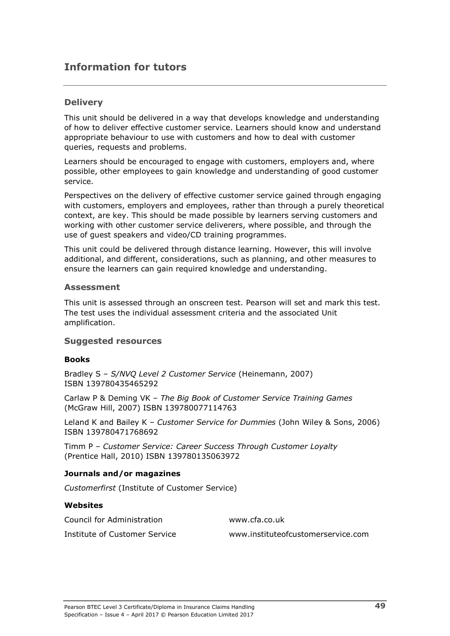# **Information for tutors**

## **Delivery**

This unit should be delivered in a way that develops knowledge and understanding of how to deliver effective customer service. Learners should know and understand appropriate behaviour to use with customers and how to deal with customer queries, requests and problems.

Learners should be encouraged to engage with customers, employers and, where possible, other employees to gain knowledge and understanding of good customer service.

Perspectives on the delivery of effective customer service gained through engaging with customers, employers and employees, rather than through a purely theoretical context, are key. This should be made possible by learners serving customers and working with other customer service deliverers, where possible, and through the use of guest speakers and video/CD training programmes.

This unit could be delivered through distance learning. However, this will involve additional, and different, considerations, such as planning, and other measures to ensure the learners can gain required knowledge and understanding.

### **Assessment**

This unit is assessed through an onscreen test. Pearson will set and mark this test. The test uses the individual assessment criteria and the associated Unit amplification.

## **Suggested resources**

### **Books**

Bradley S – *S/NVQ Level 2 Customer Service* (Heinemann, 2007) ISBN 139780435465292

Carlaw P & Deming VK – *The Big Book of Customer Service Training Games*  (McGraw Hill, 2007) ISBN 139780077114763

Leland K and Bailey K – *Customer Service for Dummies* (John Wiley & Sons, 2006) ISBN 139780471768692

Timm P – *Customer Service: Career Success Through Customer Loyalty* (Prentice Hall, 2010) ISBN 139780135063972

### **Journals and/or magazines**

*Customerfirst* (Institute of Customer Service)

#### **Websites**

Council for Administration www.cfa.co.uk

Institute of Customer Service [www.instituteofcustomerservice.com](http://www.instituteofcustomerservice.com/)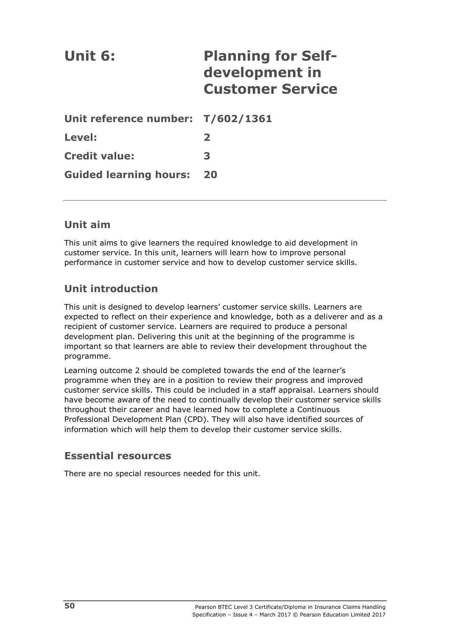| Unit 6:                           | <b>Planning for Self-</b><br>development in<br><b>Customer Service</b> |
|-----------------------------------|------------------------------------------------------------------------|
| Unit reference number: T/602/1361 |                                                                        |
| Level:                            | $\mathbf{2}$                                                           |
| <b>Credit value:</b>              | 3                                                                      |
| <b>Guided learning hours:</b>     | 20                                                                     |

# **Unit aim**

This unit aims to give learners the required knowledge to aid development in customer service. In this unit, learners will learn how to improve personal performance in customer service and how to develop customer service skills.

# **Unit introduction**

This unit is designed to develop learners' customer service skills. Learners are expected to reflect on their experience and knowledge, both as a deliverer and as a recipient of customer service. Learners are required to produce a personal development plan. Delivering this unit at the beginning of the programme is important so that learners are able to review their development throughout the programme.

Learning outcome 2 should be completed towards the end of the learner's programme when they are in a position to review their progress and improved customer service skills. This could be included in a staff appraisal. Learners should have become aware of the need to continually develop their customer service skills throughout their career and have learned how to complete a Continuous Professional Development Plan (CPD). They will also have identified sources of information which will help them to develop their customer service skills.

# **Essential resources**

There are no special resources needed for this unit.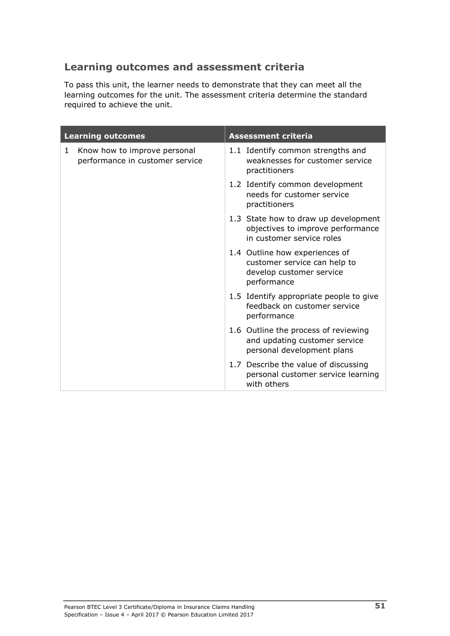# **Learning outcomes and assessment criteria**

To pass this unit, the learner needs to demonstrate that they can meet all the learning outcomes for the unit. The assessment criteria determine the standard required to achieve the unit.

| <b>Learning outcomes</b>                                                        | <b>Assessment criteria</b>                                                                                |  |  |
|---------------------------------------------------------------------------------|-----------------------------------------------------------------------------------------------------------|--|--|
| Know how to improve personal<br>$\mathbf{1}$<br>performance in customer service | 1.1 Identify common strengths and<br>weaknesses for customer service<br>practitioners                     |  |  |
|                                                                                 | 1.2 Identify common development<br>needs for customer service<br>practitioners                            |  |  |
|                                                                                 | 1.3 State how to draw up development<br>objectives to improve performance<br>in customer service roles    |  |  |
|                                                                                 | 1.4 Outline how experiences of<br>customer service can help to<br>develop customer service<br>performance |  |  |
|                                                                                 | 1.5 Identify appropriate people to give<br>feedback on customer service<br>performance                    |  |  |
|                                                                                 | 1.6 Outline the process of reviewing<br>and updating customer service<br>personal development plans       |  |  |
|                                                                                 | 1.7 Describe the value of discussing<br>personal customer service learning<br>with others                 |  |  |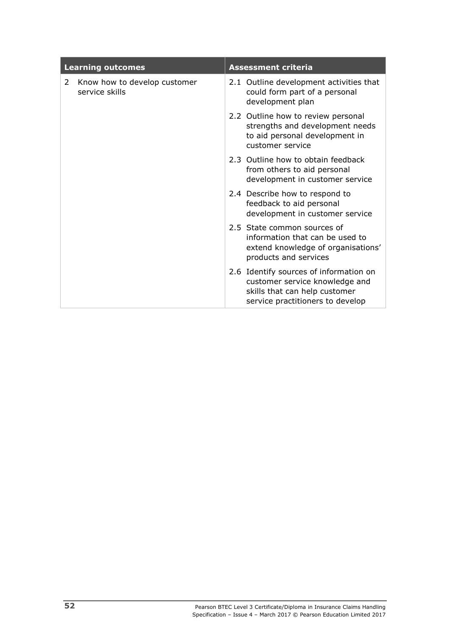|   | <b>Learning outcomes</b>                       | <b>Assessment criteria</b> |                                                                                                                                               |  |
|---|------------------------------------------------|----------------------------|-----------------------------------------------------------------------------------------------------------------------------------------------|--|
| 2 | Know how to develop customer<br>service skills |                            | 2.1 Outline development activities that<br>could form part of a personal<br>development plan                                                  |  |
|   |                                                |                            | 2.2 Outline how to review personal<br>strengths and development needs<br>to aid personal development in<br>customer service                   |  |
|   |                                                |                            | 2.3 Outline how to obtain feedback<br>from others to aid personal<br>development in customer service                                          |  |
|   |                                                |                            | 2.4 Describe how to respond to<br>feedback to aid personal<br>development in customer service                                                 |  |
|   |                                                |                            | 2.5 State common sources of<br>information that can be used to<br>extend knowledge of organisations'<br>products and services                 |  |
|   |                                                |                            | 2.6 Identify sources of information on<br>customer service knowledge and<br>skills that can help customer<br>service practitioners to develop |  |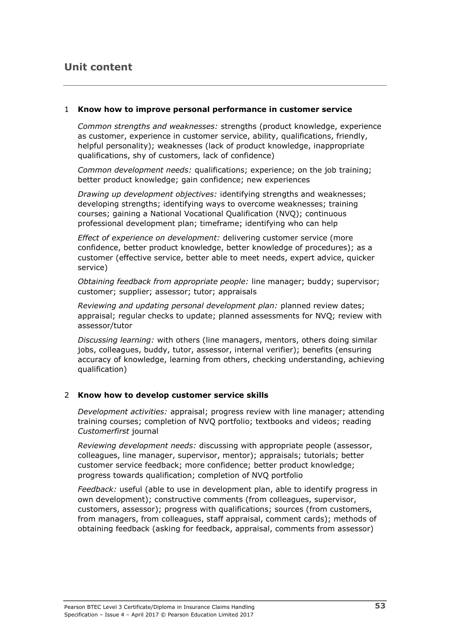### 1 **Know how to improve personal performance in customer service**

*Common strengths and weaknesses:* strengths (product knowledge, experience as customer, experience in customer service, ability, qualifications, friendly, helpful personality); weaknesses (lack of product knowledge, inappropriate qualifications, shy of customers, lack of confidence)

*Common development needs:* qualifications; experience; on the job training; better product knowledge; gain confidence; new experiences

*Drawing up development objectives:* identifying strengths and weaknesses; developing strengths; identifying ways to overcome weaknesses; training courses; gaining a National Vocational Qualification (NVQ); continuous professional development plan; timeframe; identifying who can help

*Effect of experience on development:* delivering customer service (more confidence, better product knowledge, better knowledge of procedures); as a customer (effective service, better able to meet needs, expert advice, quicker service)

*Obtaining feedback from appropriate people:* line manager; buddy; supervisor; customer; supplier; assessor; tutor; appraisals

*Reviewing and updating personal development plan:* planned review dates; appraisal; regular checks to update; planned assessments for NVQ; review with assessor/tutor

*Discussing learning:* with others (line managers, mentors, others doing similar jobs, colleagues, buddy, tutor, assessor, internal verifier); benefits (ensuring accuracy of knowledge, learning from others, checking understanding, achieving qualification)

## 2 **Know how to develop customer service skills**

*Development activities:* appraisal; progress review with line manager; attending training courses; completion of NVQ portfolio; textbooks and videos; reading *Customerfirst* journal

*Reviewing development needs:* discussing with appropriate people (assessor, colleagues, line manager, supervisor, mentor); appraisals; tutorials; better customer service feedback; more confidence; better product knowledge; progress towards qualification; completion of NVQ portfolio

*Feedback:* useful (able to use in development plan, able to identify progress in own development); constructive comments (from colleagues, supervisor, customers, assessor); progress with qualifications; sources (from customers, from managers, from colleagues, staff appraisal, comment cards); methods of obtaining feedback (asking for feedback, appraisal, comments from assessor)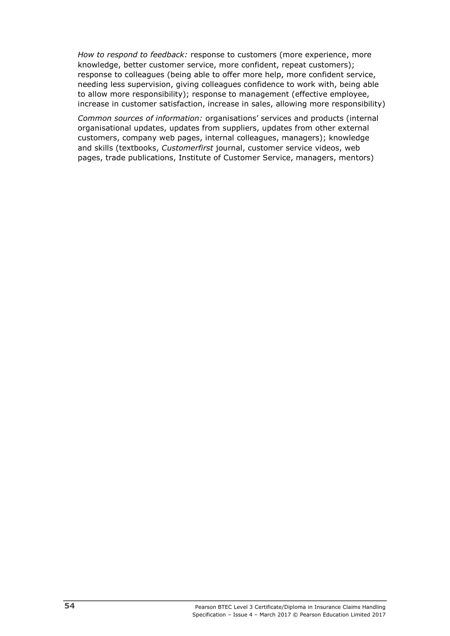*How to respond to feedback:* response to customers (more experience, more knowledge, better customer service, more confident, repeat customers); response to colleagues (being able to offer more help, more confident service, needing less supervision, giving colleagues confidence to work with, being able to allow more responsibility); response to management (effective employee, increase in customer satisfaction, increase in sales, allowing more responsibility)

*Common sources of information:* organisations' services and products (internal organisational updates, updates from suppliers, updates from other external customers, company web pages, internal colleagues, managers); knowledge and skills (textbooks, *Customerfirst* journal, customer service videos, web pages, trade publications, Institute of Customer Service, managers, mentors)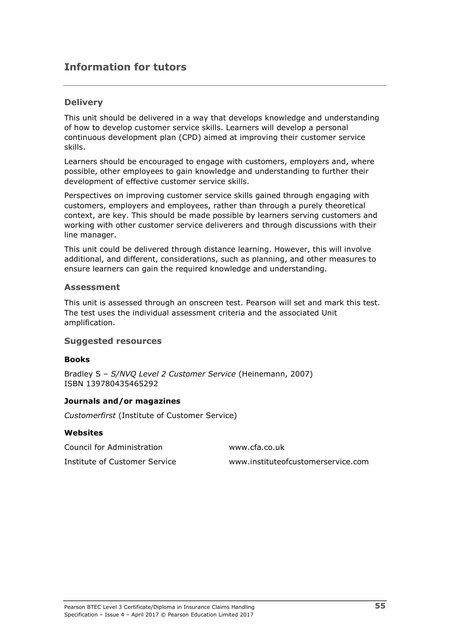# **Information for tutors**

## **Delivery**

This unit should be delivered in a way that develops knowledge and understanding of how to develop customer service skills. Learners will develop a personal continuous development plan (CPD) aimed at improving their customer service skills.

Learners should be encouraged to engage with customers, employers and, where possible, other employees to gain knowledge and understanding to further their development of effective customer service skills.

Perspectives on improving customer service skills gained through engaging with customers, employers and employees, rather than through a purely theoretical context, are key. This should be made possible by learners serving customers and working with other customer service deliverers and through discussions with their line manager.

This unit could be delivered through distance learning. However, this will involve additional, and different, considerations, such as planning, and other measures to ensure learners can gain the required knowledge and understanding.

### **Assessment**

This unit is assessed through an onscreen test. Pearson will set and mark this test. The test uses the individual assessment criteria and the associated Unit amplification.

## **Suggested resources**

#### **Books**

Bradley S – *S/NVQ Level 2 Customer Service* (Heinemann, 2007) ISBN 139780435465292

### **Journals and/or magazines**

*Customerfirst* (Institute of Customer Service)

#### **Websites**

| Council for Administration    | www.cfa.co.uk                      |
|-------------------------------|------------------------------------|
| Institute of Customer Service | www.instituteofcustomerservice.com |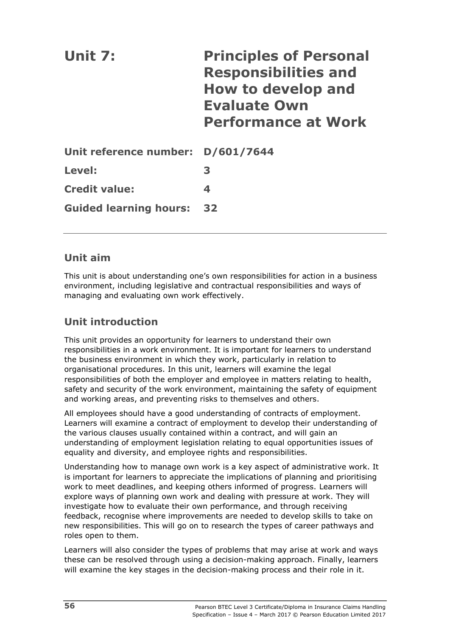| Unit 7:                           | <b>Principles of Personal</b><br><b>Responsibilities and</b><br><b>How to develop and</b><br><b>Evaluate Own</b><br><b>Performance at Work</b> |
|-----------------------------------|------------------------------------------------------------------------------------------------------------------------------------------------|
| Unit reference number: D/601/7644 |                                                                                                                                                |
| Level:                            | 3                                                                                                                                              |
| <b>Credit value:</b>              | 4                                                                                                                                              |
| <b>Guided learning hours:</b>     | 32                                                                                                                                             |

# **Unit aim**

This unit is about understanding one's own responsibilities for action in a business environment, including legislative and contractual responsibilities and ways of managing and evaluating own work effectively.

# **Unit introduction**

This unit provides an opportunity for learners to understand their own responsibilities in a work environment. It is important for learners to understand the business environment in which they work, particularly in relation to organisational procedures. In this unit, learners will examine the legal responsibilities of both the employer and employee in matters relating to health, safety and security of the work environment, maintaining the safety of equipment and working areas, and preventing risks to themselves and others.

All employees should have a good understanding of contracts of employment. Learners will examine a contract of employment to develop their understanding of the various clauses usually contained within a contract, and will gain an understanding of employment legislation relating to equal opportunities issues of equality and diversity, and employee rights and responsibilities.

Understanding how to manage own work is a key aspect of administrative work. It is important for learners to appreciate the implications of planning and prioritising work to meet deadlines, and keeping others informed of progress. Learners will explore ways of planning own work and dealing with pressure at work. They will investigate how to evaluate their own performance, and through receiving feedback, recognise where improvements are needed to develop skills to take on new responsibilities. This will go on to research the types of career pathways and roles open to them.

Learners will also consider the types of problems that may arise at work and ways these can be resolved through using a decision-making approach. Finally, learners will examine the key stages in the decision-making process and their role in it.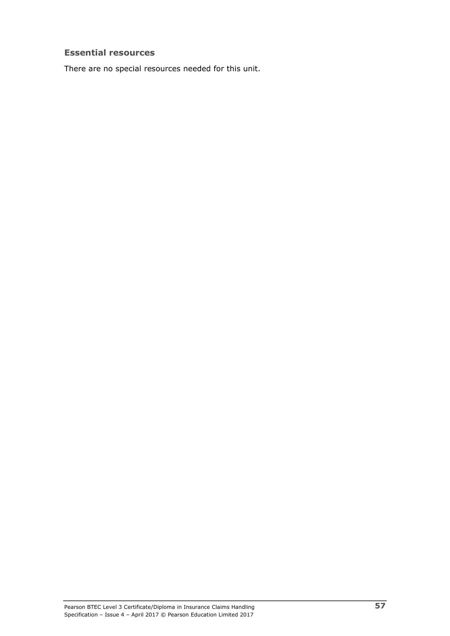## **Essential resources**

There are no special resources needed for this unit.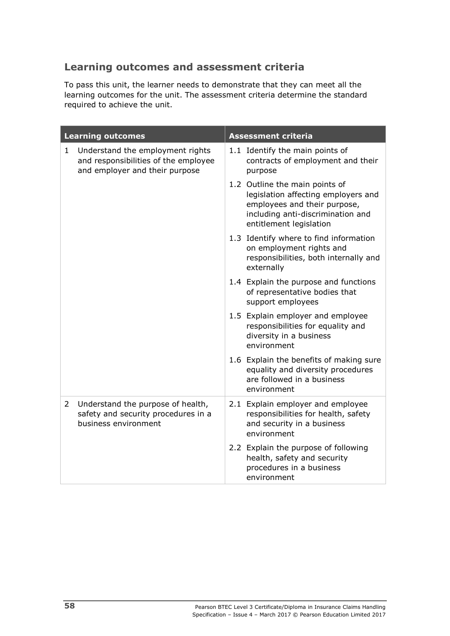# **Learning outcomes and assessment criteria**

To pass this unit, the learner needs to demonstrate that they can meet all the learning outcomes for the unit. The assessment criteria determine the standard required to achieve the unit.

| <b>Learning outcomes</b> |                                                                                                            | <b>Assessment criteria</b>                                                                                                                                            |  |
|--------------------------|------------------------------------------------------------------------------------------------------------|-----------------------------------------------------------------------------------------------------------------------------------------------------------------------|--|
| $\mathbf{1}$             | Understand the employment rights<br>and responsibilities of the employee<br>and employer and their purpose | 1.1 Identify the main points of<br>contracts of employment and their<br>purpose                                                                                       |  |
|                          |                                                                                                            | 1.2 Outline the main points of<br>legislation affecting employers and<br>employees and their purpose,<br>including anti-discrimination and<br>entitlement legislation |  |
|                          |                                                                                                            | 1.3 Identify where to find information<br>on employment rights and<br>responsibilities, both internally and<br>externally                                             |  |
|                          |                                                                                                            | 1.4 Explain the purpose and functions<br>of representative bodies that<br>support employees                                                                           |  |
|                          |                                                                                                            | 1.5 Explain employer and employee<br>responsibilities for equality and<br>diversity in a business<br>environment                                                      |  |
|                          |                                                                                                            | 1.6 Explain the benefits of making sure<br>equality and diversity procedures<br>are followed in a business<br>environment                                             |  |
| $\mathbf{2}^{\prime}$    | Understand the purpose of health,<br>safety and security procedures in a<br>business environment           | 2.1 Explain employer and employee<br>responsibilities for health, safety<br>and security in a business<br>environment                                                 |  |
|                          |                                                                                                            | 2.2 Explain the purpose of following<br>health, safety and security<br>procedures in a business<br>environment                                                        |  |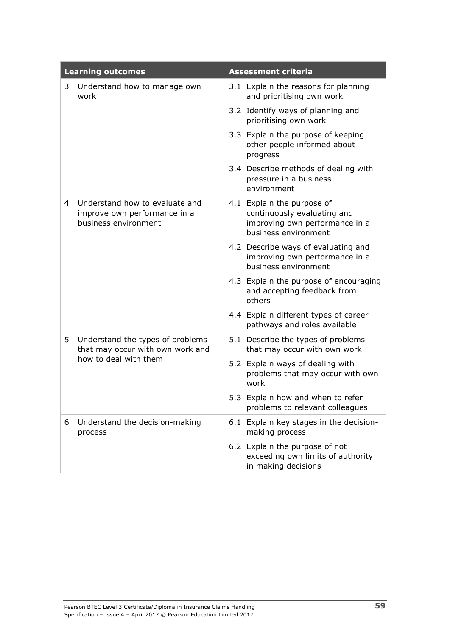|   | <b>Learning outcomes</b>                                                                      | <b>Assessment criteria</b>                                                                                          |  |
|---|-----------------------------------------------------------------------------------------------|---------------------------------------------------------------------------------------------------------------------|--|
| 3 | Understand how to manage own<br>work                                                          | 3.1 Explain the reasons for planning<br>and prioritising own work                                                   |  |
|   |                                                                                               | 3.2 Identify ways of planning and<br>prioritising own work                                                          |  |
|   |                                                                                               | 3.3 Explain the purpose of keeping<br>other people informed about<br>progress                                       |  |
|   |                                                                                               | 3.4 Describe methods of dealing with<br>pressure in a business<br>environment                                       |  |
| 4 | Understand how to evaluate and<br>improve own performance in a<br>business environment        | 4.1 Explain the purpose of<br>continuously evaluating and<br>improving own performance in a<br>business environment |  |
|   |                                                                                               | 4.2 Describe ways of evaluating and<br>improving own performance in a<br>business environment                       |  |
|   |                                                                                               | 4.3 Explain the purpose of encouraging<br>and accepting feedback from<br>others                                     |  |
|   |                                                                                               | 4.4 Explain different types of career<br>pathways and roles available                                               |  |
| 5 | Understand the types of problems<br>that may occur with own work and<br>how to deal with them | 5.1 Describe the types of problems<br>that may occur with own work                                                  |  |
|   |                                                                                               | 5.2 Explain ways of dealing with<br>problems that may occur with own<br>work                                        |  |
|   |                                                                                               | 5.3 Explain how and when to refer<br>problems to relevant colleagues                                                |  |
| 6 | Understand the decision-making<br>process                                                     | 6.1 Explain key stages in the decision-<br>making process                                                           |  |
|   |                                                                                               | 6.2 Explain the purpose of not<br>exceeding own limits of authority<br>in making decisions                          |  |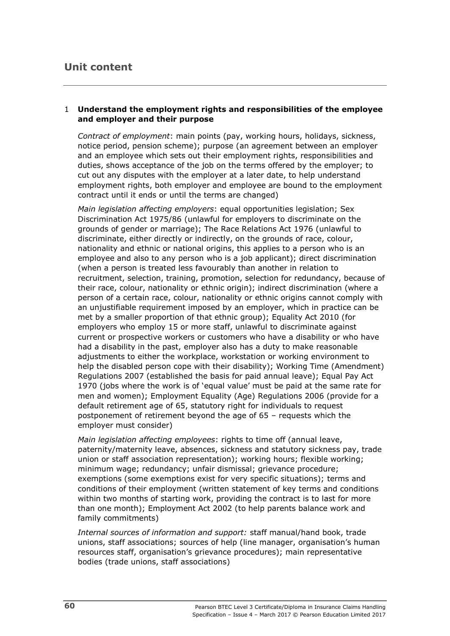# **Unit content**

## 1 **Understand the employment rights and responsibilities of the employee and employer and their purpose**

*Contract of employment*: main points (pay, working hours, holidays, sickness, notice period, pension scheme); purpose (an agreement between an employer and an employee which sets out their employment rights, responsibilities and duties, shows acceptance of the job on the terms offered by the employer; to cut out any disputes with the employer at a later date, to help understand employment rights, both employer and employee are bound to the employment contract until it ends or until the terms are changed)

*Main legislation affecting employers*: equal opportunities legislation; Sex Discrimination Act 1975/86 (unlawful for employers to discriminate on the grounds of gender or marriage); The Race Relations Act 1976 (unlawful to discriminate, either directly or indirectly, on the grounds of race, colour, nationality and ethnic or national origins, this applies to a person who is an employee and also to any person who is a job applicant); direct discrimination (when a person is treated less favourably than another in relation to recruitment, selection, training, promotion, selection for redundancy, because of their race, colour, nationality or ethnic origin); indirect discrimination (where a person of a certain race, colour, nationality or ethnic origins cannot comply with an unjustifiable requirement imposed by an employer, which in practice can be met by a smaller proportion of that ethnic group); Equality Act 2010 (for employers who employ 15 or more staff, unlawful to discriminate against current or prospective workers or customers who have a disability or who have had a disability in the past, employer also has a duty to make reasonable adjustments to either the workplace, workstation or working environment to help the disabled person cope with their disability); Working Time (Amendment) Regulations 2007 (established the basis for paid annual leave); Equal Pay Act 1970 (jobs where the work is of 'equal value' must be paid at the same rate for men and women); Employment Equality (Age) Regulations 2006 (provide for a default retirement age of 65, statutory right for individuals to request postponement of retirement beyond the age of 65 – requests which the employer must consider)

*Main legislation affecting employees*: rights to time off (annual leave, paternity/maternity leave, absences, sickness and statutory sickness pay, trade union or staff association representation); working hours; flexible working; minimum wage; redundancy; unfair dismissal; grievance procedure; exemptions (some exemptions exist for very specific situations); terms and conditions of their employment (written statement of key terms and conditions within two months of starting work, providing the contract is to last for more than one month); Employment Act 2002 (to help parents balance work and family commitments)

*Internal sources of information and support:* staff manual/hand book, trade unions, staff associations; sources of help (line manager, organisation's human resources staff, organisation's grievance procedures); main representative bodies (trade unions, staff associations)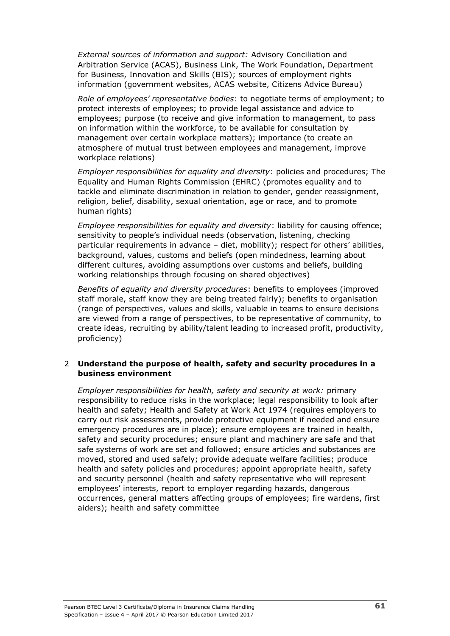*External sources of information and support:* Advisory Conciliation and Arbitration Service (ACAS), Business Link, The Work Foundation, Department for Business, Innovation and Skills (BIS); sources of employment rights information (government websites, ACAS website, Citizens Advice Bureau)

*Role of employees' representative bodies*: to negotiate terms of employment; to protect interests of employees; to provide legal assistance and advice to employees; purpose (to receive and give information to management, to pass on information within the workforce, to be available for consultation by management over certain workplace matters); importance (to create an atmosphere of mutual trust between employees and management, improve workplace relations)

*Employer responsibilities for equality and diversity*: policies and procedures; The Equality and Human Rights Commission (EHRC) (promotes equality and to tackle and eliminate discrimination in relation to gender, gender reassignment, religion, belief, disability, sexual orientation, age or race, and to promote human rights)

*Employee responsibilities for equality and diversity*: liability for causing offence; sensitivity to people's individual needs (observation, listening, checking particular requirements in advance – diet, mobility); respect for others' abilities, background, values, customs and beliefs (open mindedness, learning about different cultures, avoiding assumptions over customs and beliefs, building working relationships through focusing on shared objectives)

*Benefits of equality and diversity procedures*: benefits to employees (improved staff morale, staff know they are being treated fairly); benefits to organisation (range of perspectives, values and skills, valuable in teams to ensure decisions are viewed from a range of perspectives, to be representative of community, to create ideas, recruiting by ability/talent leading to increased profit, productivity, proficiency)

## 2 **Understand the purpose of health, safety and security procedures in a business environment**

*Employer responsibilities for health, safety and security at work:* primary responsibility to reduce risks in the workplace; legal responsibility to look after health and safety; Health and Safety at Work Act 1974 (requires employers to carry out risk assessments, provide protective equipment if needed and ensure emergency procedures are in place); ensure employees are trained in health, safety and security procedures; ensure plant and machinery are safe and that safe systems of work are set and followed; ensure articles and substances are moved, stored and used safely; provide adequate welfare facilities; produce health and safety policies and procedures; appoint appropriate health, safety and security personnel (health and safety representative who will represent employees' interests, report to employer regarding hazards, dangerous occurrences, general matters affecting groups of employees; fire wardens, first aiders); health and safety committee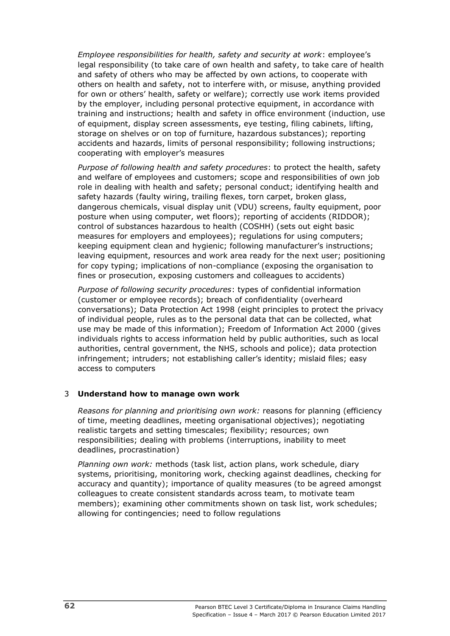*Employee responsibilities for health, safety and security at work*: employee's legal responsibility (to take care of own health and safety, to take care of health and safety of others who may be affected by own actions, to cooperate with others on health and safety, not to interfere with, or misuse, anything provided for own or others' health, safety or welfare); correctly use work items provided by the employer, including personal protective equipment, in accordance with training and instructions; health and safety in office environment (induction, use of equipment, display screen assessments, eye testing, filing cabinets, lifting, storage on shelves or on top of furniture, hazardous substances); reporting accidents and hazards, limits of personal responsibility; following instructions; cooperating with employer's measures

*Purpose of following health and safety procedures*: to protect the health, safety and welfare of employees and customers; scope and responsibilities of own job role in dealing with health and safety; personal conduct; identifying health and safety hazards (faulty wiring, trailing flexes, torn carpet, broken glass, dangerous chemicals, visual display unit (VDU) screens, faulty equipment, poor posture when using computer, wet floors); reporting of accidents (RIDDOR); control of substances hazardous to health (COSHH) (sets out eight basic measures for employers and employees); regulations for using computers; keeping equipment clean and hygienic; following manufacturer's instructions; leaving equipment, resources and work area ready for the next user; positioning for copy typing; implications of non-compliance (exposing the organisation to fines or prosecution, exposing customers and colleagues to accidents)

*Purpose of following security procedures*: types of confidential information (customer or employee records); breach of confidentiality (overheard conversations); Data Protection Act 1998 (eight principles to protect the privacy of individual people, rules as to the personal data that can be collected, what use may be made of this information); Freedom of Information Act 2000 (gives individuals rights to access information held by public authorities, such as local authorities, central government, the NHS, schools and police); data protection infringement; intruders; not establishing caller's identity; mislaid files; easy access to computers

## 3 **Understand how to manage own work**

*Reasons for planning and prioritising own work:* reasons for planning (efficiency of time, meeting deadlines, meeting organisational objectives); negotiating realistic targets and setting timescales; flexibility; resources; own responsibilities; dealing with problems (interruptions, inability to meet deadlines, procrastination)

*Planning own work:* methods (task list, action plans, work schedule, diary systems, prioritising, monitoring work, checking against deadlines, checking for accuracy and quantity); importance of quality measures (to be agreed amongst colleagues to create consistent standards across team, to motivate team members); examining other commitments shown on task list, work schedules; allowing for contingencies; need to follow regulations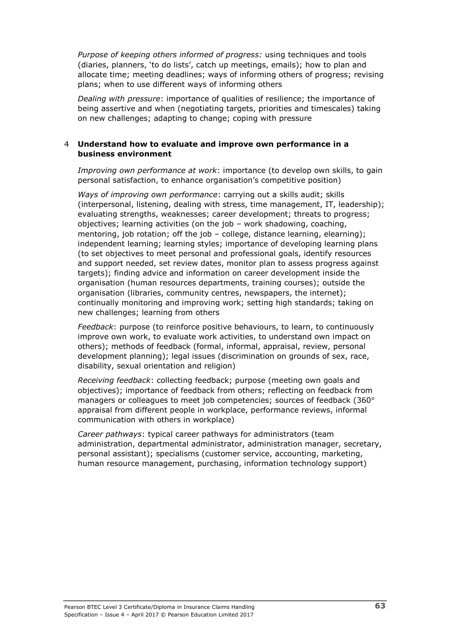*Purpose of keeping others informed of progress:* using techniques and tools (diaries, planners, 'to do lists', catch up meetings, emails); how to plan and allocate time; meeting deadlines; ways of informing others of progress; revising plans; when to use different ways of informing others

*Dealing with pressure*: importance of qualities of resilience; the importance of being assertive and when (negotiating targets, priorities and timescales) taking on new challenges; adapting to change; coping with pressure

## 4 **Understand how to evaluate and improve own performance in a business environment**

*Improving own performance at work*: importance (to develop own skills, to gain personal satisfaction, to enhance organisation's competitive position)

*Ways of improving own performance*: carrying out a skills audit; skills (interpersonal, listening, dealing with stress, time management, IT, leadership); evaluating strengths, weaknesses; career development; threats to progress; objectives; learning activities (on the job – work shadowing, coaching, mentoring, job rotation; off the job - college, distance learning, elearning); independent learning; learning styles; importance of developing learning plans (to set objectives to meet personal and professional goals, identify resources and support needed, set review dates, monitor plan to assess progress against targets); finding advice and information on career development inside the organisation (human resources departments, training courses); outside the organisation (libraries, community centres, newspapers, the internet); continually monitoring and improving work; setting high standards; taking on new challenges; learning from others

*Feedback*: purpose (to reinforce positive behaviours, to learn, to continuously improve own work, to evaluate work activities, to understand own impact on others); methods of feedback (formal, informal, appraisal, review, personal development planning); legal issues (discrimination on grounds of sex, race, disability, sexual orientation and religion)

*Receiving feedback*: collecting feedback; purpose (meeting own goals and objectives); importance of feedback from others; reflecting on feedback from managers or colleagues to meet job competencies; sources of feedback  $(360^\circ$ appraisal from different people in workplace, performance reviews, informal communication with others in workplace)

*Career pathways*: typical career pathways for administrators (team administration, departmental administrator, administration manager, secretary, personal assistant); specialisms (customer service, accounting, marketing, human resource management, purchasing, information technology support)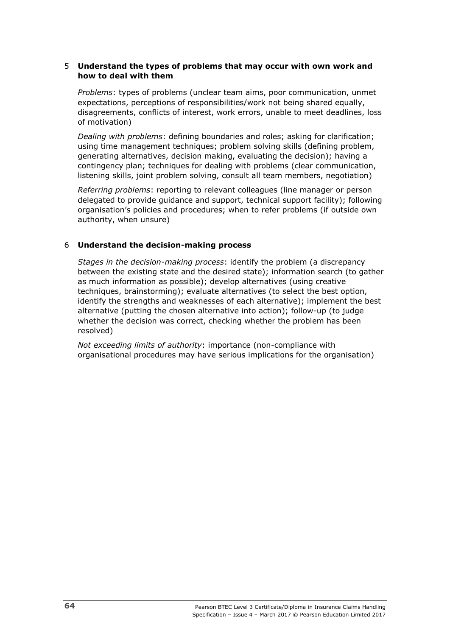### 5 **Understand the types of problems that may occur with own work and how to deal with them**

*Problems*: types of problems (unclear team aims, poor communication, unmet expectations, perceptions of responsibilities/work not being shared equally, disagreements, conflicts of interest, work errors, unable to meet deadlines, loss of motivation)

*Dealing with problems*: defining boundaries and roles; asking for clarification; using time management techniques; problem solving skills (defining problem, generating alternatives, decision making, evaluating the decision); having a contingency plan; techniques for dealing with problems (clear communication, listening skills, joint problem solving, consult all team members, negotiation)

*Referring problems*: reporting to relevant colleagues (line manager or person delegated to provide guidance and support, technical support facility); following organisation's policies and procedures; when to refer problems (if outside own authority, when unsure)

### 6 **Understand the decision-making process**

*Stages in the decision-making process*: identify the problem (a discrepancy between the existing state and the desired state); information search (to gather as much information as possible); develop alternatives (using creative techniques, brainstorming); evaluate alternatives (to select the best option, identify the strengths and weaknesses of each alternative); implement the best alternative (putting the chosen alternative into action); follow-up (to judge whether the decision was correct, checking whether the problem has been resolved)

*Not exceeding limits of authority*: importance (non-compliance with organisational procedures may have serious implications for the organisation)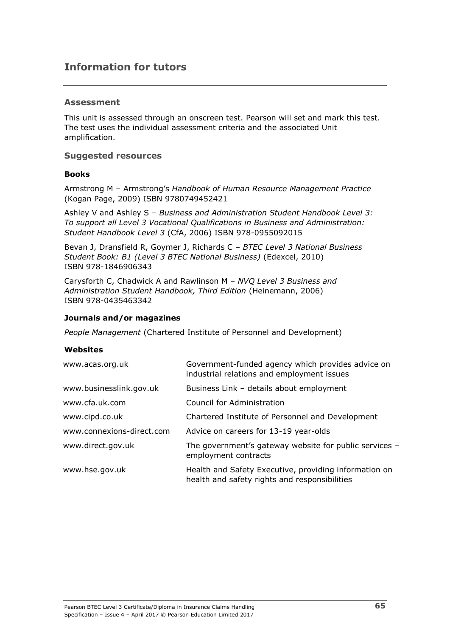# **Information for tutors**

### **Assessment**

This unit is assessed through an onscreen test. Pearson will set and mark this test. The test uses the individual assessment criteria and the associated Unit amplification.

### **Suggested resources**

#### **Books**

Armstrong M – Armstrong's *Handbook of Human Resource Management Practice* (Kogan Page, 2009) ISBN 9780749452421

Ashley V and Ashley S – *Business and Administration Student Handbook Level 3: To support all Level 3 Vocational Qualifications in Business and Administration: Student Handbook Level 3* (CfA, 2006) ISBN 978-0955092015

Bevan J, Dransfield R, Goymer J, Richards C – *BTEC Level 3 National Business Student Book: B1 (Level 3 BTEC National Business)* (Edexcel, 2010) ISBN 978-1846906343

Carysforth C, Chadwick A and Rawlinson M – *NVQ Level 3 Business and Administration Student Handbook, Third Edition* (Heinemann, 2006) ISBN 978-0435463342

### **Journals and/or magazines**

*People Management* (Chartered Institute of Personnel and Development)

#### **Websites**

| www.acas.org.uk           | Government-funded agency which provides advice on<br>industrial relations and employment issues        |
|---------------------------|--------------------------------------------------------------------------------------------------------|
| www.businesslink.gov.uk   | Business Link - details about employment                                                               |
| www.cfa.uk.com            | Council for Administration                                                                             |
| www.cipd.co.uk            | Chartered Institute of Personnel and Development                                                       |
| www.connexions-direct.com | Advice on careers for 13-19 year-olds                                                                  |
| www.direct.gov.uk         | The government's gateway website for public services -<br>employment contracts                         |
| www.hse.gov.uk            | Health and Safety Executive, providing information on<br>health and safety rights and responsibilities |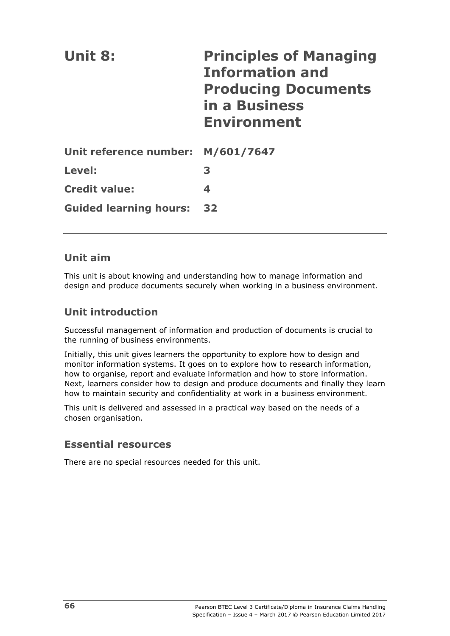| Unit 8:                           | <b>Principles of Managing</b><br><b>Information and</b><br><b>Producing Documents</b><br>in a Business<br><b>Environment</b> |
|-----------------------------------|------------------------------------------------------------------------------------------------------------------------------|
| Unit reference number: M/601/7647 |                                                                                                                              |
| Level:                            | 3                                                                                                                            |
| <b>Credit value:</b>              | 4                                                                                                                            |
| <b>Guided learning hours:</b>     | 32                                                                                                                           |

# **Unit aim**

This unit is about knowing and understanding how to manage information and design and produce documents securely when working in a business environment.

# **Unit introduction**

Successful management of information and production of documents is crucial to the running of business environments.

Initially, this unit gives learners the opportunity to explore how to design and monitor information systems. It goes on to explore how to research information, how to organise, report and evaluate information and how to store information. Next, learners consider how to design and produce documents and finally they learn how to maintain security and confidentiality at work in a business environment.

This unit is delivered and assessed in a practical way based on the needs of a chosen organisation.

# **Essential resources**

There are no special resources needed for this unit.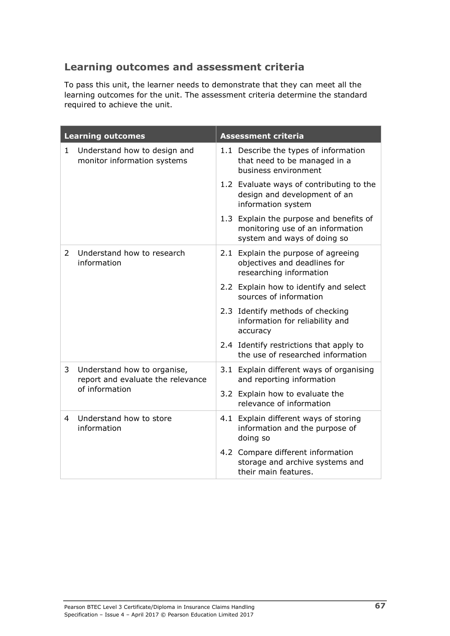## **Learning outcomes and assessment criteria**

To pass this unit, the learner needs to demonstrate that they can meet all the learning outcomes for the unit. The assessment criteria determine the standard required to achieve the unit.

| <b>Learning outcomes</b> |                                                                                    | <b>Assessment criteria</b> |                                                                                                            |
|--------------------------|------------------------------------------------------------------------------------|----------------------------|------------------------------------------------------------------------------------------------------------|
| 1                        | Understand how to design and<br>monitor information systems                        |                            | 1.1 Describe the types of information<br>that need to be managed in a<br>business environment              |
|                          |                                                                                    |                            | 1.2 Evaluate ways of contributing to the<br>design and development of an<br>information system             |
|                          |                                                                                    |                            | 1.3 Explain the purpose and benefits of<br>monitoring use of an information<br>system and ways of doing so |
| $\overline{2}$           | Understand how to research<br>information                                          |                            | 2.1 Explain the purpose of agreeing<br>objectives and deadlines for<br>researching information             |
|                          |                                                                                    |                            | 2.2 Explain how to identify and select<br>sources of information                                           |
|                          |                                                                                    |                            | 2.3 Identify methods of checking<br>information for reliability and<br>accuracy                            |
|                          |                                                                                    |                            | 2.4 Identify restrictions that apply to<br>the use of researched information                               |
| 3                        | Understand how to organise,<br>report and evaluate the relevance<br>of information |                            | 3.1 Explain different ways of organising<br>and reporting information                                      |
|                          |                                                                                    |                            | 3.2 Explain how to evaluate the<br>relevance of information                                                |
| 4                        | Understand how to store<br>information                                             |                            | 4.1 Explain different ways of storing<br>information and the purpose of<br>doing so                        |
|                          |                                                                                    |                            | 4.2 Compare different information<br>storage and archive systems and<br>their main features.               |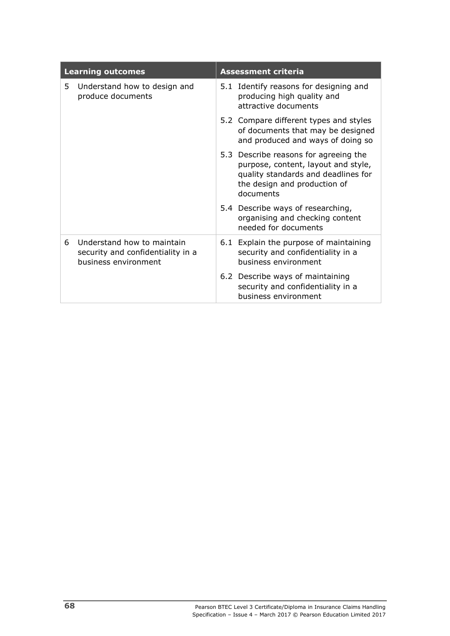| <b>Learning outcomes</b> |                                                                                         | <b>Assessment criteria</b> |                                                                                                                                                                  |
|--------------------------|-----------------------------------------------------------------------------------------|----------------------------|------------------------------------------------------------------------------------------------------------------------------------------------------------------|
| 5.                       | Understand how to design and<br>produce documents                                       |                            | 5.1 Identify reasons for designing and<br>producing high quality and<br>attractive documents                                                                     |
|                          |                                                                                         |                            | 5.2 Compare different types and styles<br>of documents that may be designed<br>and produced and ways of doing so                                                 |
|                          |                                                                                         |                            | 5.3 Describe reasons for agreeing the<br>purpose, content, layout and style,<br>quality standards and deadlines for<br>the design and production of<br>documents |
|                          |                                                                                         |                            | 5.4 Describe ways of researching,<br>organising and checking content<br>needed for documents                                                                     |
| 6                        | Understand how to maintain<br>security and confidentiality in a<br>business environment |                            | 6.1 Explain the purpose of maintaining<br>security and confidentiality in a<br>business environment                                                              |
|                          |                                                                                         |                            | 6.2 Describe ways of maintaining<br>security and confidentiality in a<br>business environment                                                                    |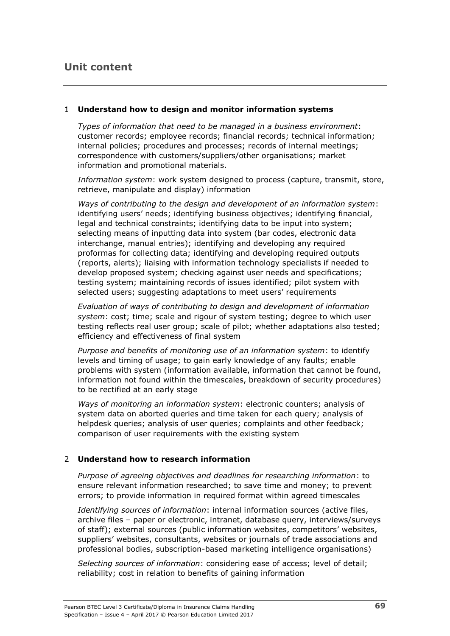### **Unit content**

#### 1 **Understand how to design and monitor information systems**

*Types of information that need to be managed in a business environment*: customer records; employee records; financial records; technical information; internal policies; procedures and processes; records of internal meetings; correspondence with customers/suppliers/other organisations; market information and promotional materials.

*Information system*: work system designed to process (capture, transmit, store, retrieve, manipulate and display) information

*Ways of contributing to the design and development of an information system*: identifying users' needs; identifying business objectives; identifying financial, legal and technical constraints; identifying data to be input into system; selecting means of inputting data into system (bar codes, electronic data interchange, manual entries); identifying and developing any required proformas for collecting data; identifying and developing required outputs (reports, alerts); liaising with information technology specialists if needed to develop proposed system; checking against user needs and specifications; testing system; maintaining records of issues identified; pilot system with selected users; suggesting adaptations to meet users' requirements

*Evaluation of ways of contributing to design and development of information system*: cost; time; scale and rigour of system testing; degree to which user testing reflects real user group; scale of pilot; whether adaptations also tested; efficiency and effectiveness of final system

*Purpose and benefits of monitoring use of an information system*: to identify levels and timing of usage; to gain early knowledge of any faults; enable problems with system (information available, information that cannot be found, information not found within the timescales, breakdown of security procedures) to be rectified at an early stage

*Ways of monitoring an information system*: electronic counters; analysis of system data on aborted queries and time taken for each query; analysis of helpdesk queries; analysis of user queries; complaints and other feedback; comparison of user requirements with the existing system

#### 2 **Understand how to research information**

*Purpose of agreeing objectives and deadlines for researching information*: to ensure relevant information researched; to save time and money; to prevent errors; to provide information in required format within agreed timescales

*Identifying sources of information*: internal information sources (active files, archive files – paper or electronic, intranet, database query, interviews/surveys of staff); external sources (public information websites, competitors' websites, suppliers' websites, consultants, websites or journals of trade associations and professional bodies, subscription-based marketing intelligence organisations)

*Selecting sources of information*: considering ease of access; level of detail; reliability; cost in relation to benefits of gaining information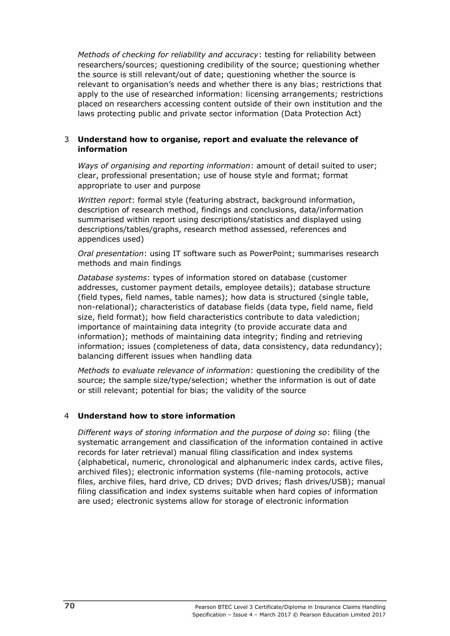*Methods of checking for reliability and accuracy*: testing for reliability between researchers/sources; questioning credibility of the source; questioning whether the source is still relevant/out of date; questioning whether the source is relevant to organisation's needs and whether there is any bias; restrictions that apply to the use of researched information: licensing arrangements; restrictions placed on researchers accessing content outside of their own institution and the laws protecting public and private sector information (Data Protection Act)

#### 3 **Understand how to organise, report and evaluate the relevance of information**

*Ways of organising and reporting information*: amount of detail suited to user; clear, professional presentation; use of house style and format; format appropriate to user and purpose

*Written report*: formal style (featuring abstract, background information, description of research method, findings and conclusions, data/information summarised within report using descriptions/statistics and displayed using descriptions/tables/graphs, research method assessed, references and appendices used)

*Oral presentation*: using IT software such as PowerPoint; summarises research methods and main findings

*Database systems*: types of information stored on database (customer addresses, customer payment details, employee details); database structure (field types, field names, table names); how data is structured (single table, non-relational); characteristics of database fields (data type, field name, field size, field format); how field characteristics contribute to data valediction; importance of maintaining data integrity (to provide accurate data and information); methods of maintaining data integrity; finding and retrieving information; issues (completeness of data, data consistency, data redundancy); balancing different issues when handling data

*Methods to evaluate relevance of information*: questioning the credibility of the source; the sample size/type/selection; whether the information is out of date or still relevant; potential for bias; the validity of the source

#### 4 **Understand how to store information**

*Different ways of storing information and the purpose of doing so*: filing (the systematic arrangement and classification of the information contained in active records for later retrieval) manual filing classification and index systems (alphabetical, numeric, chronological and alphanumeric index cards, active files, archived files); electronic information systems (file-naming protocols, active files, archive files, hard drive, CD drives; DVD drives; flash drives/USB); manual filing classification and index systems suitable when hard copies of information are used; electronic systems allow for storage of electronic information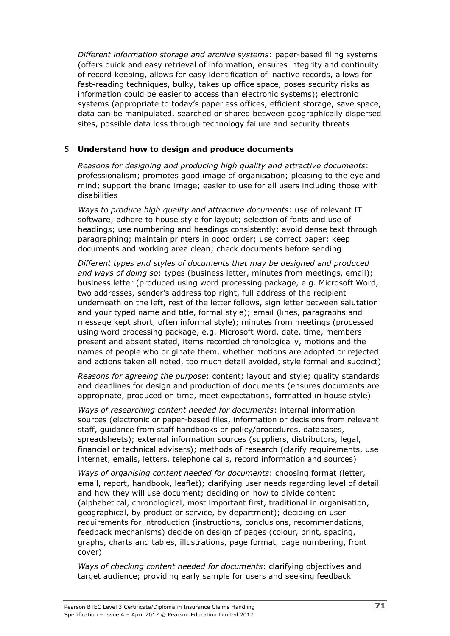*Different information storage and archive systems*: paper-based filing systems (offers quick and easy retrieval of information, ensures integrity and continuity of record keeping, allows for easy identification of inactive records, allows for fast-reading techniques, bulky, takes up office space, poses security risks as information could be easier to access than electronic systems); electronic systems (appropriate to today's paperless offices, efficient storage, save space, data can be manipulated, searched or shared between geographically dispersed sites, possible data loss through technology failure and security threats

#### 5 **Understand how to design and produce documents**

*Reasons for designing and producing high quality and attractive documents*: professionalism; promotes good image of organisation; pleasing to the eye and mind; support the brand image; easier to use for all users including those with disabilities

*Ways to produce high quality and attractive documents*: use of relevant IT software; adhere to house style for layout; selection of fonts and use of headings; use numbering and headings consistently; avoid dense text through paragraphing; maintain printers in good order; use correct paper; keep documents and working area clean; check documents before sending

*Different types and styles of documents that may be designed and produced and ways of doing so*: types (business letter, minutes from meetings, email); business letter (produced using word processing package, e.g. Microsoft Word, two addresses, sender's address top right, full address of the recipient underneath on the left, rest of the letter follows, sign letter between salutation and your typed name and title, formal style); email (lines, paragraphs and message kept short, often informal style); minutes from meetings (processed using word processing package, e.g. Microsoft Word, date, time, members present and absent stated, items recorded chronologically, motions and the names of people who originate them, whether motions are adopted or rejected and actions taken all noted, too much detail avoided, style formal and succinct)

*Reasons for agreeing the purpose*: content; layout and style; quality standards and deadlines for design and production of documents (ensures documents are appropriate, produced on time, meet expectations, formatted in house style)

*Ways of researching content needed for documents*: internal information sources (electronic or paper-based files, information or decisions from relevant staff, guidance from staff handbooks or policy/procedures, databases, spreadsheets); external information sources (suppliers, distributors, legal, financial or technical advisers); methods of research (clarify requirements, use internet, emails, letters, telephone calls, record information and sources)

*Ways of organising content needed for documents*: choosing format (letter, email, report, handbook, leaflet); clarifying user needs regarding level of detail and how they will use document; deciding on how to divide content (alphabetical, chronological, most important first, traditional in organisation, geographical, by product or service, by department); deciding on user requirements for introduction (instructions, conclusions, recommendations, feedback mechanisms) decide on design of pages (colour, print, spacing, graphs, charts and tables, illustrations, page format, page numbering, front cover)

*Ways of checking content needed for documents*: clarifying objectives and target audience; providing early sample for users and seeking feedback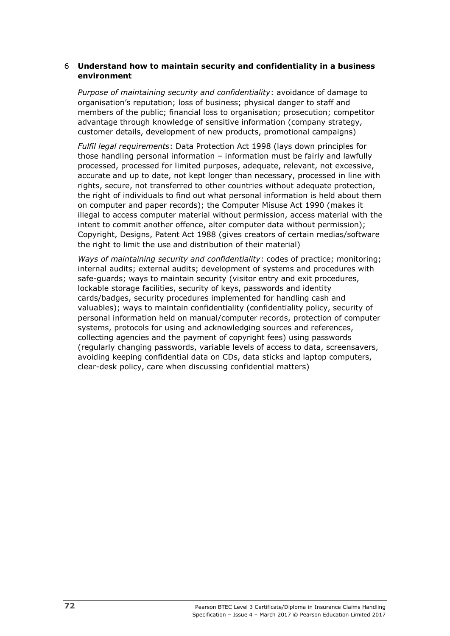#### 6 **Understand how to maintain security and confidentiality in a business environment**

*Purpose of maintaining security and confidentiality*: avoidance of damage to organisation's reputation; loss of business; physical danger to staff and members of the public; financial loss to organisation; prosecution; competitor advantage through knowledge of sensitive information (company strategy, customer details, development of new products, promotional campaigns)

*Fulfil legal requirements*: Data Protection Act 1998 (lays down principles for those handling personal information – information must be fairly and lawfully processed, processed for limited purposes, adequate, relevant, not excessive, accurate and up to date, not kept longer than necessary, processed in line with rights, secure, not transferred to other countries without adequate protection, the right of individuals to find out what personal information is held about them on computer and paper records); the Computer Misuse Act 1990 (makes it illegal to access computer material without permission, access material with the intent to commit another offence, alter computer data without permission); Copyright, Designs, Patent Act 1988 (gives creators of certain medias/software the right to limit the use and distribution of their material)

*Ways of maintaining security and confidentiality*: codes of practice; monitoring; internal audits; external audits; development of systems and procedures with safe-guards; ways to maintain security (visitor entry and exit procedures, lockable storage facilities, security of keys, passwords and identity cards/badges, security procedures implemented for handling cash and valuables); ways to maintain confidentiality (confidentiality policy, security of personal information held on manual/computer records, protection of computer systems, protocols for using and acknowledging sources and references, collecting agencies and the payment of copyright fees) using passwords (regularly changing passwords, variable levels of access to data, screensavers, avoiding keeping confidential data on CDs, data sticks and laptop computers, clear-desk policy, care when discussing confidential matters)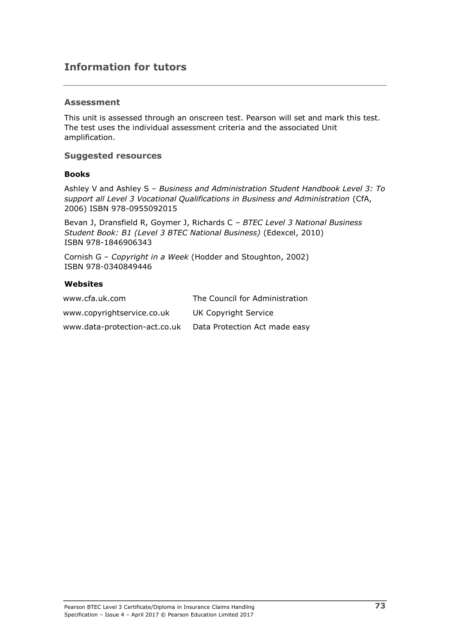### **Information for tutors**

#### **Assessment**

This unit is assessed through an onscreen test. Pearson will set and mark this test. The test uses the individual assessment criteria and the associated Unit amplification.

#### **Suggested resources**

#### **Books**

Ashley V and Ashley S – *Business and Administration Student Handbook Level 3: To support all Level 3 Vocational Qualifications in Business and Administration* (CfA, 2006) ISBN 978-0955092015

Bevan J, Dransfield R, Goymer J, Richards C – *BTEC Level 3 National Business Student Book: B1 (Level 3 BTEC National Business)* (Edexcel, 2010) ISBN 978-1846906343

Cornish G – *Copyright in a Week* (Hodder and Stoughton, 2002) ISBN 978-0340849446

#### **Websites**

| www.cfa.uk.com                | The Council for Administration |
|-------------------------------|--------------------------------|
| www.copyrightservice.co.uk    | UK Copyright Service           |
| www.data-protection-act.co.uk | Data Protection Act made easy  |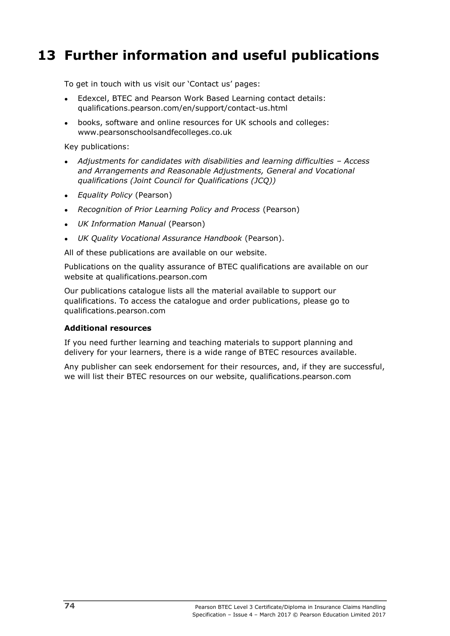# **13 Further information and useful publications**

To get in touch with us visit our 'Contact us' pages:

- Edexcel, BTEC and Pearson Work Based Learning contact details: qualifications.pearson.com/en/support/contact-us.html
- books, software and online resources for UK schools and colleges: www.pearsonschoolsandfecolleges.co.uk

Key publications:

- *Adjustments for candidates with disabilities and learning difficulties – Access and Arrangements and Reasonable Adjustments, General and Vocational qualifications (Joint Council for Qualifications (JCQ))*
- *Equality Policy* (Pearson)
- *Recognition of Prior Learning Policy and Process* (Pearson)
- *UK Information Manual* (Pearson)
- *UK Quality Vocational Assurance Handbook* (Pearson).

All of these publications are available on our website.

Publications on the quality assurance of BTEC qualifications are available on our website at qualifications.pearson.com

Our publications catalogue lists all the material available to support our qualifications. To access the catalogue and order publications, please go to qualifications.pearson.com

#### **Additional resources**

If you need further learning and teaching materials to support planning and delivery for your learners, there is a wide range of BTEC resources available.

Any publisher can seek endorsement for their resources, and, if they are successful, we will list their BTEC resources on our website, qualifications.pearson.com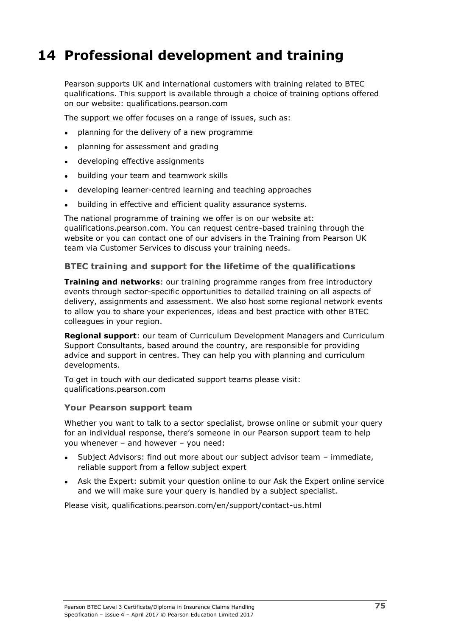# **14 Professional development and training**

Pearson supports UK and international customers with training related to BTEC qualifications. This support is available through a choice of training options offered on our website: qualifications.pearson.com

The support we offer focuses on a range of issues, such as:

- planning for the delivery of a new programme
- planning for assessment and grading
- developing effective assignments
- building your team and teamwork skills
- developing learner-centred learning and teaching approaches
- building in effective and efficient quality assurance systems.

The national programme of training we offer is on our website at: qualifications.pearson.com. You can request centre-based training through the website or you can contact one of our advisers in the Training from Pearson UK team via Customer Services to discuss your training needs.

#### **BTEC training and support for the lifetime of the qualifications**

**Training and networks**: our training programme ranges from free introductory events through sector-specific opportunities to detailed training on all aspects of delivery, assignments and assessment. We also host some regional network events to allow you to share your experiences, ideas and best practice with other BTEC colleagues in your region.

**Regional support**: our team of Curriculum Development Managers and Curriculum Support Consultants, based around the country, are responsible for providing advice and support in centres. They can help you with planning and curriculum developments.

To get in touch with our dedicated support teams please visit: qualifications.pearson.com

#### **Your Pearson support team**

Whether you want to talk to a sector specialist, browse online or submit your query for an individual response, there's someone in our Pearson support team to help you whenever – and however – you need:

- Subject Advisors: find out more about our subject advisor team immediate, reliable support from a fellow subject expert
- Ask the Expert: submit your question online to our Ask the Expert online service and we will make sure your query is handled by a subject specialist.

Please visit, qualifications.pearson.com/en/support/contact-us.html